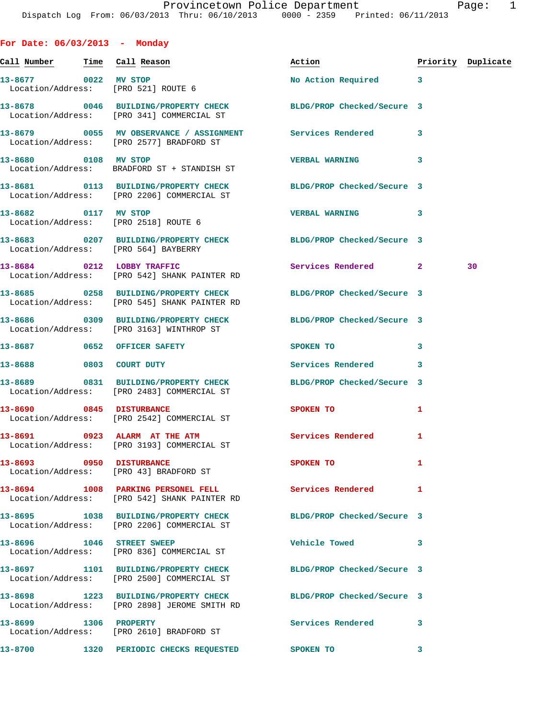| For Date: $06/03/2013$ - Monday |                                                                                                                 |                                |                |                    |
|---------------------------------|-----------------------------------------------------------------------------------------------------------------|--------------------------------|----------------|--------------------|
| Call Number = Time  Call Reason |                                                                                                                 | Action                         |                | Priority Duplicate |
|                                 | 13-8677 0022 MV STOP<br>Location/Address: [PRO 521] ROUTE 6                                                     | No Action Required             | 3              |                    |
|                                 | 13-8678 0046 BUILDING/PROPERTY CHECK BLDG/PROP Checked/Secure 3<br>Location/Address: [PRO 341] COMMERCIAL ST    |                                |                |                    |
|                                 | 13-8679 0055 MV OBSERVANCE / ASSIGNMENT Services Rendered<br>Location/Address: [PRO 2577] BRADFORD ST           |                                | 3              |                    |
| 13-8680 0108 MV STOP            | Location/Address: BRADFORD ST + STANDISH ST                                                                     | <b>VERBAL WARNING</b>          | 3              |                    |
|                                 | 13-8681 0113 BUILDING/PROPERTY CHECK<br>Location/Address: [PRO 2206] COMMERCIAL ST                              | BLDG/PROP Checked/Secure 3     |                |                    |
|                                 | 13-8682 0117 MV STOP<br>Location/Address: [PRO 2518] ROUTE 6                                                    | <b>VERBAL WARNING</b>          | 3              |                    |
|                                 | 13-8683 0207 BUILDING/PROPERTY CHECK BLDG/PROP Checked/Secure 3<br>Location/Address: [PRO 564] BAYBERRY         |                                |                |                    |
|                                 | 13-8684 0212 LOBBY TRAFFIC<br>Location/Address: [PRO 542] SHANK PAINTER RD                                      | Services Rendered              | $\overline{2}$ | 30                 |
|                                 | 13-8685 0258 BUILDING/PROPERTY CHECK<br>Location/Address: [PRO 545] SHANK PAINTER RD                            | BLDG/PROP Checked/Secure 3     |                |                    |
|                                 | 13-8686 0309 BUILDING/PROPERTY CHECK<br>Location/Address: [PRO 3163] WINTHROP ST                                | BLDG/PROP Checked/Secure 3     |                |                    |
|                                 | 13-8687 0652 OFFICER SAFETY                                                                                     | SPOKEN TO                      | 3              |                    |
| 13-8688 0803 COURT DUTY         |                                                                                                                 | Services Rendered              | 3              |                    |
|                                 | 13-8689 0831 BUILDING/PROPERTY CHECK BLDG/PROP Checked/Secure 3<br>Location/Address: [PRO 2483] COMMERCIAL ST   |                                |                |                    |
|                                 | 13-8690 0845 DISTURBANCE<br>Location/Address: [PRO 2542] COMMERCIAL ST                                          | SPOKEN TO                      | 1              |                    |
|                                 | 13-8691 0923 ALARM AT THE ATM<br>Location/Address: [PRO 3193] COMMERCIAL ST                                     | <b>Services Rendered</b>       | 1              |                    |
|                                 | 13-8693 0950 DISTURBANCE<br>Location/Address: [PRO 43] BRADFORD ST                                              | SPOKEN TO                      | 1              |                    |
|                                 | 13-8694 1008 PARKING PERSONEL FELL<br>Location/Address: [PRO 542] SHANK PAINTER RD                              | <b>Services Rendered</b>       | 1              |                    |
|                                 | 13-8695 1038 BUILDING/PROPERTY CHECK BLDG/PROP Checked/Secure 3<br>Location/Address: [PRO 2206] COMMERCIAL ST   |                                |                |                    |
|                                 | 13-8696 1046 STREET SWEEP<br>Location/Address: [PRO 836] COMMERCIAL ST                                          | Vehicle Towed <b>Seat 1996</b> | 3              |                    |
|                                 | 13-8697 1101 BUILDING/PROPERTY CHECK<br>Location/Address: [PRO 2500] COMMERCIAL ST                              | BLDG/PROP Checked/Secure 3     |                |                    |
|                                 | 13-8698 1223 BUILDING/PROPERTY CHECK BLDG/PROP Checked/Secure 3<br>Location/Address: [PRO 2898] JEROME SMITH RD |                                |                |                    |
|                                 | 13-8699 1306 PROPERTY<br>Location/Address: [PRO 2610] BRADFORD ST                                               | Services Rendered              | 3              |                    |
|                                 | 13-8700 1320 PERIODIC CHECKS REQUESTED SPOKEN TO                                                                |                                | 3              |                    |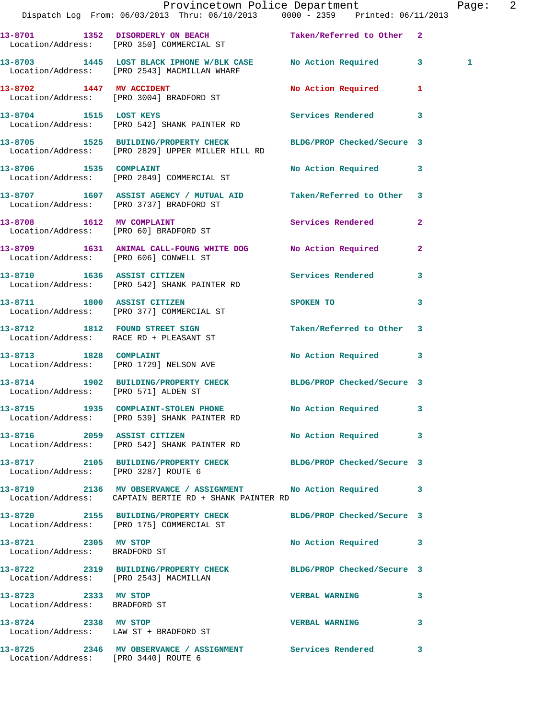|                                                       | Dispatch Log From: 06/03/2013 Thru: 06/10/2013 0000 - 2359 Printed: 06/11/2013                                         | Provincetown Police Department        |              | Page: 2 |  |
|-------------------------------------------------------|------------------------------------------------------------------------------------------------------------------------|---------------------------------------|--------------|---------|--|
|                                                       | 13-8701 1352 DISORDERLY ON BEACH Taken/Referred to Other 2<br>Location/Address: [PRO 350] COMMERCIAL ST                |                                       |              |         |  |
|                                                       | 13-8703 1445 LOST BLACK IPHONE W/BLK CASE No Action Required 3<br>Location/Address: [PRO 2543] MACMILLAN WHARF         |                                       |              | 1       |  |
|                                                       | 13-8702 1447 MV ACCIDENT<br>Location/Address: [PRO 3004] BRADFORD ST                                                   | No Action Required 1                  |              |         |  |
|                                                       | 13-8704 1515 LOST KEYS<br>Location/Address: [PRO 542] SHANK PAINTER RD                                                 | Services Rendered 3                   |              |         |  |
|                                                       | 13-8705 1525 BUILDING/PROPERTY CHECK BLDG/PROP Checked/Secure 3<br>Location/Address: [PRO 2829] UPPER MILLER HILL RD   |                                       |              |         |  |
|                                                       | 13-8706 1535 COMPLAINT<br>Location/Address: [PRO 2849] COMMERCIAL ST                                                   | No Action Required 3                  |              |         |  |
|                                                       | 13-8707 1607 ASSIST AGENCY / MUTUAL AID Taken/Referred to Other 3<br>Location/Address: [PRO 3737] BRADFORD ST          |                                       |              |         |  |
|                                                       | 13-8708 1612 MV COMPLAINT<br>Location/Address: [PRO 60] BRADFORD ST                                                    | Services Rendered 2                   |              |         |  |
|                                                       | 13-8709 1631 ANIMAL CALL-FOUNG WHITE DOG No Action Required 2<br>Location/Address: [PRO 606] CONWELL ST                |                                       |              |         |  |
|                                                       | 13-8710 1636 ASSIST CITIZEN<br>Location/Address: [PRO 542] SHANK PAINTER RD                                            | Services Rendered 3                   |              |         |  |
|                                                       | 13-8711 1800 ASSIST CITIZEN<br>Location/Address: [PRO 377] COMMERCIAL ST                                               | SPOKEN TO THE SPOKEN OF THE SPOKEN TO | 3            |         |  |
|                                                       | 13-8712 1812 FOUND STREET SIGN<br>Location/Address: RACE RD + PLEASANT ST                                              | Taken/Referred to Other 3             |              |         |  |
| 13-8713 1828 COMPLAINT                                | Location/Address: [PRO 1729] NELSON AVE                                                                                | No Action Required 3                  |              |         |  |
| Location/Address: [PRO 571] ALDEN ST                  | 13-8714 1902 BUILDING/PROPERTY CHECK BLDG/PROP Checked/Secure 3                                                        |                                       |              |         |  |
|                                                       | 13-8715 1935 COMPLAINT-STOLEN PHONE<br>Location/Address: [PRO 539] SHANK PAINTER RD                                    | No Action Required 3                  |              |         |  |
|                                                       | 13-8716 2059 ASSIST CITIZEN<br>Location/Address: [PRO 542] SHANK PAINTER RD                                            | No Action Required 3                  |              |         |  |
| Location/Address: [PRO 3287] ROUTE 6                  | 13-8717 2105 BUILDING/PROPERTY CHECK BLDG/PROP Checked/Secure 3                                                        |                                       |              |         |  |
|                                                       | 13-8719 2136 MV OBSERVANCE / ASSIGNMENT No Action Required 3<br>Location/Address: CAPTAIN BERTIE RD + SHANK PAINTER RD |                                       |              |         |  |
|                                                       | 13-8720 2155 BUILDING/PROPERTY CHECK BLDG/PROP Checked/Secure 3<br>Location/Address: [PRO 175] COMMERCIAL ST           |                                       |              |         |  |
| 13-8721 2305 MV STOP<br>Location/Address: BRADFORD ST |                                                                                                                        | No Action Required 3                  |              |         |  |
| Location/Address: [PRO 2543] MACMILLAN                | 13-8722 2319 BUILDING/PROPERTY CHECK BLDG/PROP Checked/Secure 3                                                        |                                       |              |         |  |
| 13-8723 2333 MV STOP<br>Location/Address: BRADFORD ST |                                                                                                                        | <b>VERBAL WARNING</b>                 | 3            |         |  |
| 13-8724 2338 MV STOP                                  | Location/Address: LAW ST + BRADFORD ST                                                                                 | <b>VERBAL WARNING</b>                 | $\mathbf{3}$ |         |  |
| Location/Address: [PRO 3440] ROUTE 6                  | 13-8725 2346 MV OBSERVANCE / ASSIGNMENT Services Rendered 3                                                            |                                       |              |         |  |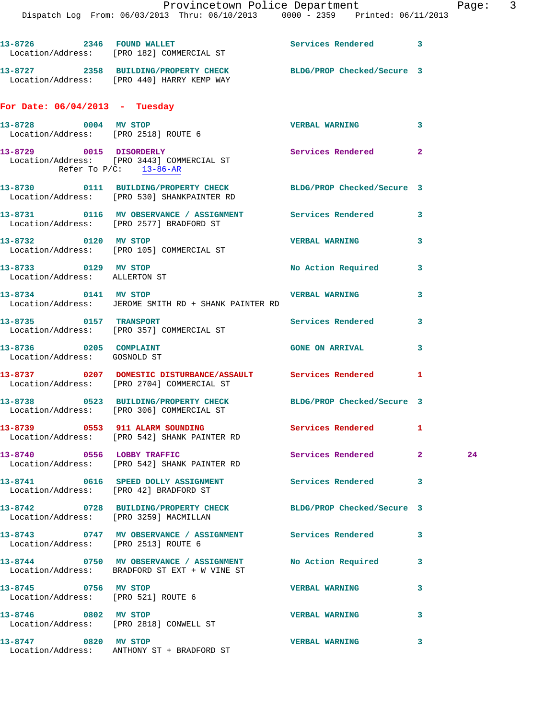Dispatch Log From: 06/03/2013 Thru: 06/10/2013 0000 - 2359 Printed: 06/11/2013

|                                                        | 13-8726 2346 FOUND WALLET<br>Location/Address: [PRO 182] COMMERCIAL ST                                         | Services Rendered         | 3              |
|--------------------------------------------------------|----------------------------------------------------------------------------------------------------------------|---------------------------|----------------|
|                                                        | 13-8727 2358 BUILDING/PROPERTY CHECK BLDG/PROP Checked/Secure 3<br>Location/Address: [PRO 440] HARRY KEMP WAY  |                           |                |
| For Date: $06/04/2013$ - Tuesday                       |                                                                                                                |                           |                |
| 13-8728 0004 MV STOP                                   | Location/Address: [PRO 2518] ROUTE 6                                                                           | <b>VERBAL WARNING</b>     | 3              |
|                                                        | 13-8729 0015 DISORDERLY<br>Location/Address: [PRO 3443] COMMERCIAL ST<br>Refer To $P/C$ : 13-86-AR             | Services Rendered         | $\overline{a}$ |
|                                                        | 13-8730 0111 BUILDING/PROPERTY CHECK BLDG/PROP Checked/Secure 3<br>Location/Address: [PRO 530] SHANKPAINTER RD |                           |                |
|                                                        | 13-8731 0116 MV OBSERVANCE / ASSIGNMENT Services Rendered<br>Location/Address: [PRO 2577] BRADFORD ST          |                           | 3              |
| 13-8732 0120 MV STOP                                   | Location/Address: [PRO 105] COMMERCIAL ST                                                                      | <b>VERBAL WARNING</b>     | 3              |
| 13-8733 0129 MV STOP<br>Location/Address: ALLERTON ST  |                                                                                                                | <b>No Action Required</b> | 3              |
| 13-8734 0141 MV STOP                                   | Location/Address: JEROME SMITH RD + SHANK PAINTER RD                                                           | <b>VERBAL WARNING</b>     | 3              |
|                                                        | 13-8735 0157 TRANSPORT<br>Location/Address: [PRO 357] COMMERCIAL ST                                            | Services Rendered         | 3              |
| 13-8736 0205 COMPLAINT<br>Location/Address: GOSNOLD ST |                                                                                                                | <b>GONE ON ARRIVAL</b>    | 3              |
|                                                        | 13-8737 0207 DOMESTIC DISTURBANCE/ASSAULT Services Rendered<br>Location/Address: [PRO 2704] COMMERCIAL ST      |                           | 1              |
|                                                        | 13-8738 0523 BUILDING/PROPERTY CHECK BLDG/PROP Checked/Secure 3<br>Location/Address: [PRO 306] COMMERCIAL ST   |                           |                |
|                                                        | 13-8739 0553 911 ALARM SOUNDING Services Rendered 1<br>Location/Address: [PRO 542] SHANK PAINTER RD            |                           |                |
|                                                        | 13-8740 0556 LOBBY TRAFFIC<br>Location/Address: [PRO 542] SHANK PAINTER RD                                     | Services Rendered 2       | 24             |
|                                                        | 13-8741 0616 SPEED DOLLY ASSIGNMENT Services Rendered<br>Location/Address: [PRO 42] BRADFORD ST                |                           | 3              |
|                                                        | 13-8742 0728 BUILDING/PROPERTY CHECK BLDG/PROP Checked/Secure 3<br>Location/Address: [PRO 3259] MACMILLAN      |                           |                |
|                                                        | 13-8743 0747 MV OBSERVANCE / ASSIGNMENT Services Rendered<br>Location/Address: [PRO 2513] ROUTE 6              |                           | 3              |
|                                                        | 13-8744 0750 MV OBSERVANCE / ASSIGNMENT No Action Required<br>Location/Address: BRADFORD ST EXT + W VINE ST    |                           | 3              |
| 13-8745 0756 MV STOP                                   | Location/Address: [PRO 521] ROUTE 6                                                                            | <b>VERBAL WARNING</b>     | 3              |
| 13-8746 0802 MV STOP                                   | Location/Address: [PRO 2818] CONWELL ST                                                                        | <b>VERBAL WARNING</b>     | 3              |
| 13-8747 0820 MV STOP                                   | Location/Address: ANTHONY ST + BRADFORD ST                                                                     | <b>VERBAL WARNING</b>     | 3              |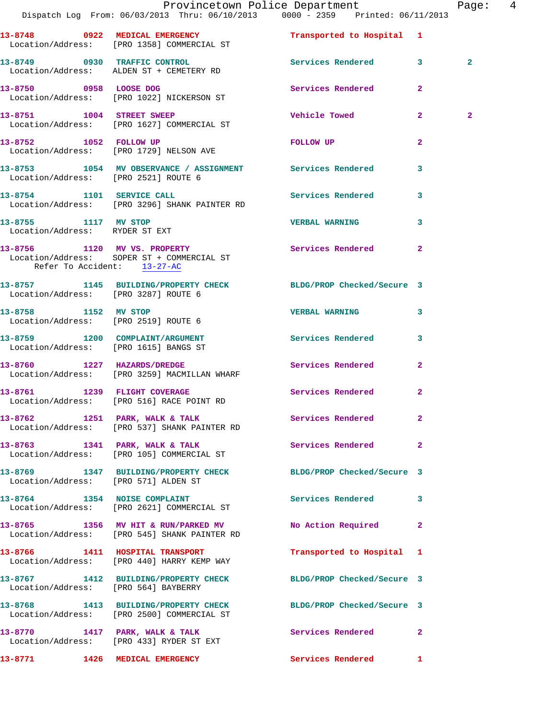|                                                              | Provincetown Police Department<br>Dispatch Log From: 06/03/2013 Thru: 06/10/2013 0000 - 2359 Printed: 06/11/2013 |                             |                | Page: 4        |  |
|--------------------------------------------------------------|------------------------------------------------------------------------------------------------------------------|-----------------------------|----------------|----------------|--|
|                                                              | 13-8748 0922 MEDICAL EMERGENCY<br>Location/Address: [PRO 1358] COMMERCIAL ST                                     | Transported to Hospital 1   |                |                |  |
|                                                              | 13-8749 0930 TRAFFIC CONTROL Services Rendered 3<br>Location/Address: ALDEN ST + CEMETERY RD                     |                             |                | $\overline{2}$ |  |
|                                                              |                                                                                                                  | Services Rendered 2         |                |                |  |
|                                                              | 13-8751 1004 STREET SWEEP<br>Location/Address: [PRO 1627] COMMERCIAL ST                                          | <b>Vehicle Towed State</b>  | $\mathbf{2}$   | $\mathbf{2}$   |  |
| 13-8752 1052 FOLLOW UP                                       | Location/Address: [PRO 1729] NELSON AVE                                                                          | FOLLOW UP                   | $\overline{2}$ |                |  |
| Location/Address: [PRO 2521] ROUTE 6                         | 13-8753 1054 MV OBSERVANCE / ASSIGNMENT Services Rendered                                                        |                             | $\mathbf{3}$   |                |  |
|                                                              | 13-8754 1101 SERVICE CALL<br>Location/Address: [PRO 3296] SHANK PAINTER RD                                       | Services Rendered 3         |                |                |  |
| 13-8755 1117 MV STOP<br>Location/Address: RYDER ST EXT       |                                                                                                                  | <b>VERBAL WARNING</b>       | 3              |                |  |
| Refer To Accident: 13-27-AC                                  | 13-8756 1120 MV VS. PROPERTY<br>Location/Address: SOPER ST + COMMERCIAL ST                                       | Services Rendered 2         |                |                |  |
| Location/Address: [PRO 3287] ROUTE 6                         | 13-8757 1145 BUILDING/PROPERTY CHECK BLDG/PROP Checked/Secure 3                                                  |                             |                |                |  |
| 13-8758 1152 MV STOP<br>Location/Address: [PRO 2519] ROUTE 6 |                                                                                                                  | <b>VERBAL WARNING</b>       | 3              |                |  |
| Location/Address: [PRO 1615] BANGS ST                        | 13-8759 1200 COMPLAINT/ARGUMENT                                                                                  | Services Rendered 3         |                |                |  |
|                                                              | 13-8760 1227 HAZARDS/DREDGE<br>Location/Address: [PRO 3259] MACMILLAN WHARF                                      | Services Rendered           | $\mathbf{2}$   |                |  |
|                                                              | 13-8761 1239 FLIGHT COVERAGE<br>Location/Address: [PRO 516] RACE POINT RD                                        | Services Rendered 2         |                |                |  |
|                                                              | 13-8762 1251 PARK, WALK & TALK 6 Services Rendered 2<br>Location/Address: [PRO 537] SHANK PAINTER RD             |                             |                |                |  |
|                                                              | 13-8763 1341 PARK, WALK & TALK<br>Location/Address: [PRO 105] COMMERCIAL ST                                      | <b>Services Rendered 22</b> |                |                |  |
| Location/Address: [PRO 571] ALDEN ST                         | 13-8769 1347 BUILDING/PROPERTY CHECK BLDG/PROP Checked/Secure 3                                                  |                             |                |                |  |
|                                                              | 13-8764 1354 NOISE COMPLAINT<br>Location/Address: [PRO 2621] COMMERCIAL ST                                       | Services Rendered 3         |                |                |  |
|                                                              | 13-8765 1356 MV HIT & RUN/PARKED MV No Action Required 2<br>Location/Address: [PRO 545] SHANK PAINTER RD         |                             |                |                |  |
|                                                              | 13-8766 1411 HOSPITAL TRANSPORT<br>Location/Address: [PRO 440] HARRY KEMP WAY                                    | Transported to Hospital 1   |                |                |  |
| Location/Address: [PRO 564] BAYBERRY                         | 13-8767 1412 BUILDING/PROPERTY CHECK BLDG/PROP Checked/Secure 3                                                  |                             |                |                |  |
|                                                              | 13-8768 1413 BUILDING/PROPERTY CHECK BLDG/PROP Checked/Secure 3<br>Location/Address: [PRO 2500] COMMERCIAL ST    |                             |                |                |  |
|                                                              | 13-8770 1417 PARK, WALK & TALK<br>Location/Address: [PRO 433] RYDER ST EXT                                       | Services Rendered           | $\mathbf{2}$   |                |  |
| 13-8771                                                      | 1426 MEDICAL EMERGENCY                                                                                           | <b>Services Rendered</b> 1  |                |                |  |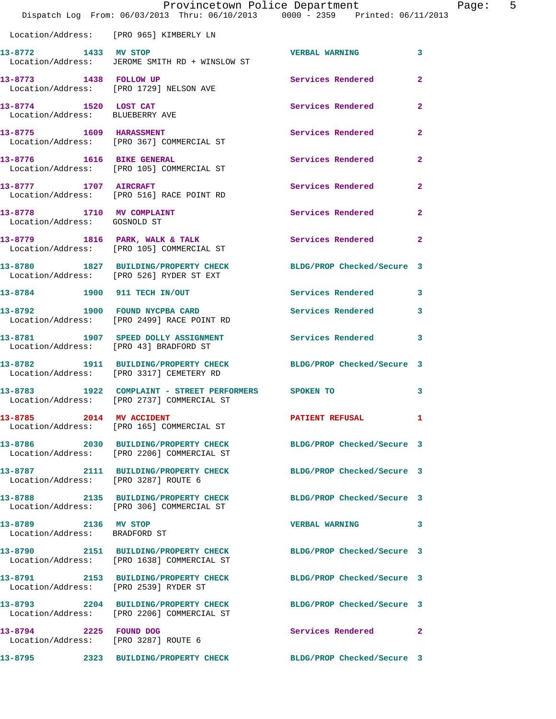|                                                           | Dispatch Log From: 06/03/2013 Thru: 06/10/2013 0000 - 2359 Printed: 06/11/2013                                | Provincetown Police Department |                | Page: 5 |  |
|-----------------------------------------------------------|---------------------------------------------------------------------------------------------------------------|--------------------------------|----------------|---------|--|
|                                                           | Location/Address: [PRO 965] KIMBERLY LN                                                                       |                                |                |         |  |
| 13-8772 1433 MV STOP                                      | Location/Address: JEROME SMITH RD + WINSLOW ST                                                                | VERBAL WARNING 3               |                |         |  |
|                                                           | 13-8773 1438 FOLLOW UP<br>Location/Address: [PRO 1729] NELSON AVE                                             | Services Rendered 2            |                |         |  |
| 13-8774 1520 LOST CAT<br>Location/Address: BLUEBERRY AVE  |                                                                                                               | Services Rendered 2            |                |         |  |
|                                                           | 13-8775 1609 HARASSMENT<br>Location/Address: [PRO 367] COMMERCIAL ST                                          | Services Rendered 2            |                |         |  |
|                                                           | 13-8776 1616 BIKE GENERAL<br>Location/Address: [PRO 105] COMMERCIAL ST                                        | Services Rendered 2            |                |         |  |
|                                                           | 13-8777 1707 AIRCRAFT<br>Location/Address: [PRO 516] RACE POINT RD                                            | Services Rendered 2            |                |         |  |
| 13-8778 1710 MV COMPLAINT<br>Location/Address: GOSNOLD ST |                                                                                                               | Services Rendered              | $\overline{2}$ |         |  |
|                                                           | 13-8779 1816 PARK, WALK & TALK<br>Location/Address: [PRO 105] COMMERCIAL ST                                   | Services Rendered 2            |                |         |  |
|                                                           | 13-8780 1827 BUILDING/PROPERTY CHECK BLDG/PROP Checked/Secure 3<br>Location/Address: [PRO 526] RYDER ST EXT   |                                |                |         |  |
|                                                           | 13-8784 1900 911 TECH IN/OUT Services Rendered 3                                                              |                                |                |         |  |
|                                                           | 13-8792 1900 FOUND NYCPBA CARD<br>Location/Address: [PRO 2499] RACE POINT RD                                  | Services Rendered              | $\mathbf{3}$   |         |  |
|                                                           | 13-8781 1907 SPEED DOLLY ASSIGNMENT<br>Location/Address: [PRO 43] BRADFORD ST                                 | Services Rendered 3            |                |         |  |
|                                                           | 13-8782 1911 BUILDING/PROPERTY CHECK BLDG/PROP Checked/Secure 3<br>Location/Address: [PRO 3317] CEMETERY RD   |                                |                |         |  |
|                                                           | 13-8783 1922 COMPLAINT - STREET PERFORMERS SPOKEN TO<br>Location/Address: [PRO 2737] COMMERCIAL ST            |                                | 3              |         |  |
| 13-8785 2014 MV ACCIDENT                                  | Location/Address: [PRO 165] COMMERCIAL ST                                                                     | PATIENT REFUSAL 1              |                |         |  |
|                                                           | 13-8786 2030 BUILDING/PROPERTY CHECK BLDG/PROP Checked/Secure 3<br>Location/Address: [PRO 2206] COMMERCIAL ST |                                |                |         |  |
| Location/Address: [PRO 3287] ROUTE 6                      | 13-8787 2111 BUILDING/PROPERTY CHECK BLDG/PROP Checked/Secure 3                                               |                                |                |         |  |
|                                                           | 13-8788 2135 BUILDING/PROPERTY CHECK<br>Location/Address: [PRO 306] COMMERCIAL ST                             | BLDG/PROP Checked/Secure 3     |                |         |  |
| 13-8789 2136 MV STOP<br>Location/Address: BRADFORD ST     |                                                                                                               | VERBAL WARNING 3               |                |         |  |
|                                                           | 13-8790 2151 BUILDING/PROPERTY CHECK BLDG/PROP Checked/Secure 3<br>Location/Address: [PRO 1638] COMMERCIAL ST |                                |                |         |  |
| Location/Address: [PRO 2539] RYDER ST                     | 13-8791 2153 BUILDING/PROPERTY CHECK BLDG/PROP Checked/Secure 3                                               |                                |                |         |  |
|                                                           | 13-8793 2204 BUILDING/PROPERTY CHECK BLDG/PROP Checked/Secure 3<br>Location/Address: [PRO 2206] COMMERCIAL ST |                                |                |         |  |
| 13-8794 2225 FOUND DOG                                    | Location/Address: [PRO 3287] ROUTE 6                                                                          | Services Rendered 2            |                |         |  |
|                                                           | 13-8795 2323 BUILDING/PROPERTY CHECK BLDG/PROP Checked/Secure 3                                               |                                |                |         |  |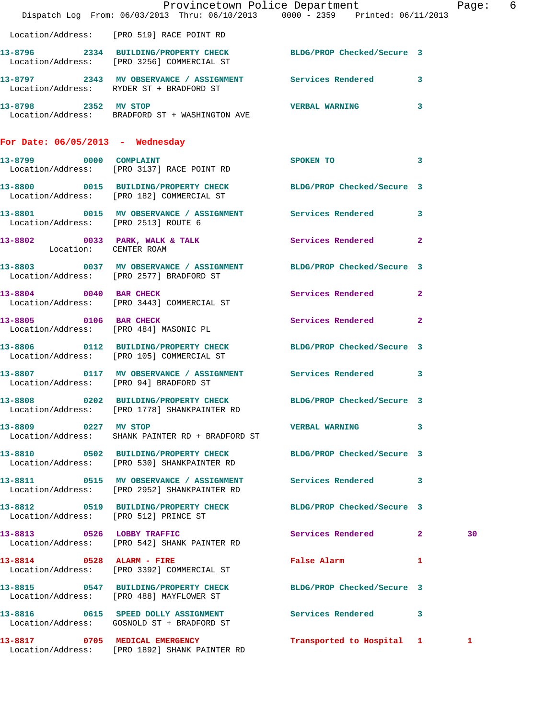|                                        | Dispatch Log From: 06/03/2013 Thru: 06/10/2013 0000 - 2359 Printed: 06/11/2013                                  | Provincetown Police Department | Page: 6 |  |
|----------------------------------------|-----------------------------------------------------------------------------------------------------------------|--------------------------------|---------|--|
|                                        | Location/Address: [PRO 519] RACE POINT RD                                                                       |                                |         |  |
|                                        | 13-8796 2334 BUILDING/PROPERTY CHECK BLDG/PROP Checked/Secure 3<br>Location/Address: [PRO 3256] COMMERCIAL ST   |                                |         |  |
|                                        | 13-8797 2343 MV OBSERVANCE / ASSIGNMENT Services Rendered 3<br>Location/Address: RYDER ST + BRADFORD ST         |                                |         |  |
| 13-8798 2352 MV STOP                   | Location/Address: BRADFORD ST + WASHINGTON AVE                                                                  | <b>VERBAL WARNING</b> 3        |         |  |
| For Date: $06/05/2013$ - Wednesday     |                                                                                                                 |                                |         |  |
|                                        | 13-8799 0000 COMPLAINT 3<br>Location/Address: [PRO 3137] RACE POINT RD                                          |                                |         |  |
|                                        | 13-8800 0015 BUILDING/PROPERTY CHECK BLDG/PROP Checked/Secure 3<br>Location/Address: [PRO 182] COMMERCIAL ST    |                                |         |  |
| Location/Address: [PRO 2513] ROUTE 6   | 13-8801 0015 MV OBSERVANCE / ASSIGNMENT Services Rendered 3                                                     |                                |         |  |
|                                        | 13-8802 0033 PARK, WALK & TALK Services Rendered 2<br>Location: CENTER ROAM                                     |                                |         |  |
|                                        | 13-8803 0037 MV OBSERVANCE / ASSIGNMENT BLDG/PROP Checked/Secure 3<br>Location/Address: [PRO 2577] BRADFORD ST  |                                |         |  |
|                                        | 13-8804 0040 BAR CHECK<br>Location/Address: [PRO 3443] COMMERCIAL ST                                            | Services Rendered 2            |         |  |
|                                        | 13-8805 0106 BAR CHECK<br>Location/Address: [PRO 484] MASONIC PL                                                | Services Rendered 2            |         |  |
|                                        | 13-8806 0112 BUILDING/PROPERTY CHECK BLDG/PROP Checked/Secure 3<br>Location/Address: [PRO 105] COMMERCIAL ST    |                                |         |  |
| Location/Address: [PRO 94] BRADFORD ST | 13-8807 0117 MV OBSERVANCE / ASSIGNMENT Services Rendered 3                                                     |                                |         |  |
|                                        | 13-8808 0202 BUILDING/PROPERTY CHECK BLDG/PROP Checked/Secure 3<br>Location/Address: [PRO 1778] SHANKPAINTER RD |                                |         |  |
| 13-8809 0227 MV STOP                   | Location/Address: SHANK PAINTER RD + BRADFORD ST                                                                | <b>VERBAL WARNING</b> 3        |         |  |
|                                        | 13-8810 0502 BUILDING/PROPERTY CHECK BLDG/PROP Checked/Secure 3<br>Location/Address: [PRO 530] SHANKPAINTER RD  |                                |         |  |
|                                        | 13-8811 0515 MV OBSERVANCE / ASSIGNMENT Services Rendered 3<br>Location/Address: [PRO 2952] SHANKPAINTER RD     |                                |         |  |
|                                        | 13-8812 0519 BUILDING/PROPERTY CHECK BLDG/PROP Checked/Secure 3<br>Location/Address: [PRO 512] PRINCE ST        |                                |         |  |
|                                        | 13-8813 0526 LOBBY TRAFFIC<br>Location/Address: [PRO 542] SHANK PAINTER RD                                      | Services Rendered 2            | 30      |  |
|                                        | 13-8814 0528 ALARM - FIRE<br>Location/Address: [PRO 3392] COMMERCIAL ST                                         | False Alarm 1                  |         |  |
|                                        | 13-8815 0547 BUILDING/PROPERTY CHECK BLDG/PROP Checked/Secure 3<br>Location/Address: [PRO 488] MAYFLOWER ST     |                                |         |  |
|                                        | 13-8816 0615 SPEED DOLLY ASSIGNMENT Services Rendered 3<br>Location/Address: GOSNOLD ST + BRADFORD ST           |                                |         |  |
|                                        | 13-8817 0705 MEDICAL EMERGENCY<br>Location/Address: [PRO 1892] SHANK PAINTER RD                                 | Transported to Hospital 1      | 1       |  |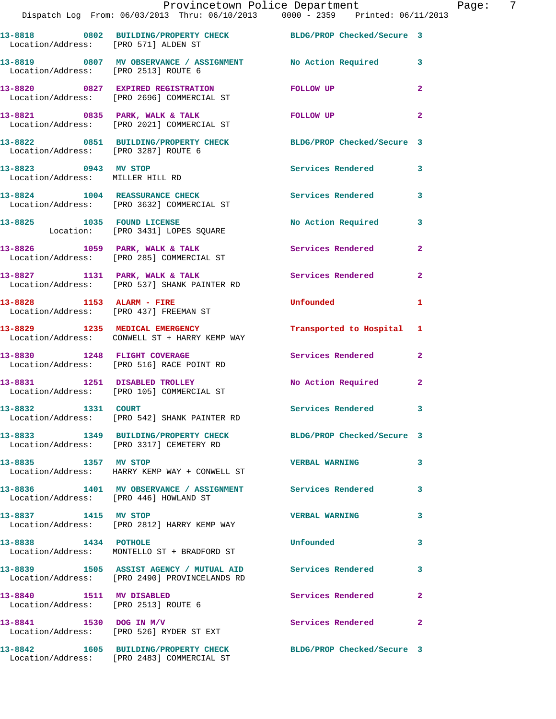|                                                                  | Provincetown Police Department<br>Dispatch Log From: 06/03/2013 Thru: 06/10/2013 0000 - 2359 Printed: 06/11/2013 |                            |                |
|------------------------------------------------------------------|------------------------------------------------------------------------------------------------------------------|----------------------------|----------------|
|                                                                  | 13-8818 0802 BUILDING/PROPERTY CHECK BLDG/PROP Checked/Secure 3<br>Location/Address: [PRO 571] ALDEN ST          |                            |                |
| Location/Address: [PRO 2513] ROUTE 6                             | 13-8819 0807 MV OBSERVANCE / ASSIGNMENT No Action Required                                                       |                            | 3              |
|                                                                  | 13-8820 0827 EXPIRED REGISTRATION<br>Location/Address: [PRO 2696] COMMERCIAL ST                                  | <b>FOLLOW UP</b>           | $\overline{a}$ |
|                                                                  | 13-8821 0835 PARK, WALK & TALK<br>Location/Address: [PRO 2021] COMMERCIAL ST                                     | FOLLOW UP                  | 2              |
| Location/Address: [PRO 3287] ROUTE 6                             | 13-8822 0851 BUILDING/PROPERTY CHECK                                                                             | BLDG/PROP Checked/Secure 3 |                |
| 13-8823 0943 MV STOP<br>Location/Address: MILLER HILL RD         |                                                                                                                  | <b>Services Rendered</b>   | 3              |
|                                                                  | 13-8824 1004 REASSURANCE CHECK<br>Location/Address: [PRO 3632] COMMERCIAL ST                                     | <b>Services Rendered</b>   | 3              |
|                                                                  | 13-8825 1035 FOUND LICENSE<br>Location: [PRO 3431] LOPES SQUARE                                                  | No Action Required         | 3              |
|                                                                  | 13-8826 1059 PARK, WALK & TALK<br>Location/Address: [PRO 285] COMMERCIAL ST                                      | Services Rendered          | $\mathbf{2}$   |
|                                                                  | 13-8827 1131 PARK, WALK & TALK<br>Location/Address: [PRO 537] SHANK PAINTER RD                                   | Services Rendered          | $\mathbf{2}$   |
| 13-8828 1153 ALARM - FIRE                                        | Location/Address: [PRO 437] FREEMAN ST                                                                           | Unfounded                  | 1              |
|                                                                  | 13-8829 1235 MEDICAL EMERGENCY<br>Location/Address: CONWELL ST + HARRY KEMP WAY                                  | Transported to Hospital    | 1              |
| 13-8830 1248 FLIGHT COVERAGE                                     | Location/Address: [PRO 516] RACE POINT RD                                                                        | Services Rendered          | $\mathbf{2}$   |
|                                                                  | 13-8831 1251 DISABLED TROLLEY<br>Location/Address: [PRO 105] COMMERCIAL ST                                       | No Action Required         | $\mathbf{2}$   |
| 13-8832 1331 COURT                                               | Location/Address: [PRO 542] SHANK PAINTER RD                                                                     | Services Rendered          |                |
|                                                                  | 13-8833 1349 BUILDING/PROPERTY CHECK BLDG/PROP Checked/Secure 3<br>Location/Address: [PRO 3317] CEMETERY RD      |                            |                |
| 13-8835 1357 MV STOP                                             | Location/Address: HARRY KEMP WAY + CONWELL ST                                                                    | <b>VERBAL WARNING</b>      | 3              |
|                                                                  | 13-8836 1401 MV OBSERVANCE / ASSIGNMENT Services Rendered<br>Location/Address: [PRO 446] HOWLAND ST              |                            | 3              |
| 13-8837 1415 MV STOP                                             | Location/Address: [PRO 2812] HARRY KEMP WAY                                                                      | <b>VERBAL WARNING</b>      | 3              |
| 13-8838 1434 POTHOLE                                             | Location/Address: MONTELLO ST + BRADFORD ST                                                                      | Unfounded                  | 3              |
|                                                                  | 13-8839 1505 ASSIST AGENCY / MUTUAL AID Services Rendered<br>Location/Address: [PRO 2490] PROVINCELANDS RD       |                            | 3              |
| 13-8840 1511 MV DISABLED<br>Location/Address: [PRO 2513] ROUTE 6 |                                                                                                                  | Services Rendered          | 2              |
| 13-8841 1530 DOG IN M/V                                          | Location/Address: [PRO 526] RYDER ST EXT                                                                         | Services Rendered          | 2              |
|                                                                  | 13-8842 1605 BUILDING/PROPERTY CHECK BLDG/PROP Checked/Secure 3                                                  |                            |                |

Location/Address: [PRO 2483] COMMERCIAL ST

Page: 7<br>3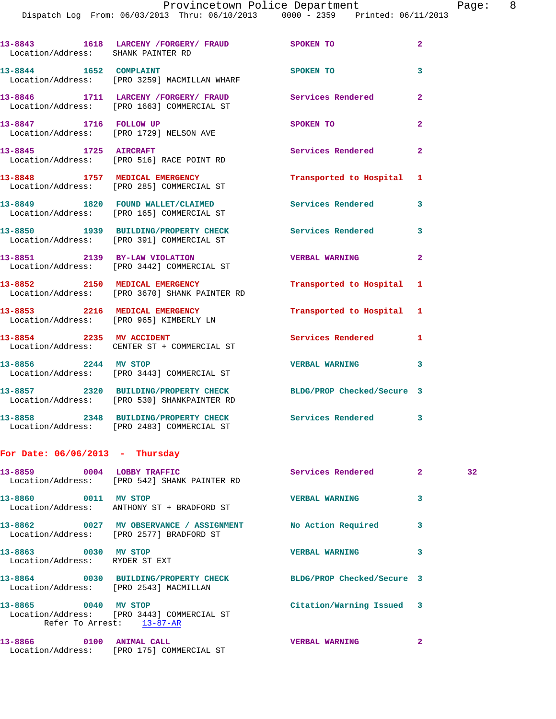| Location/Address: SHANK PAINTER RD                     | 13-8843 1618 LARCENY / FORGERY / FRAUD SPOKEN TO                                                               |                           | $\overline{2}$ |    |
|--------------------------------------------------------|----------------------------------------------------------------------------------------------------------------|---------------------------|----------------|----|
| 13-8844 1652 COMPLAINT                                 | Location/Address: [PRO 3259] MACMILLAN WHARF                                                                   | <b>SPOKEN TO</b>          | 3              |    |
|                                                        | 13-8846 1711 LARCENY /FORGERY/ FRAUD Services Rendered<br>Location/Address: [PRO 1663] COMMERCIAL ST           |                           | $\mathbf{2}$   |    |
| 13-8847 1716 FOLLOW UP                                 | Location/Address: [PRO 1729] NELSON AVE                                                                        | SPOKEN TO                 | 2              |    |
|                                                        | 13-8845 1725 AIRCRAFT<br>Location/Address: [PRO 516] RACE POINT RD                                             | Services Rendered         | $\mathbf{2}$   |    |
|                                                        | 13-8848 1757 MEDICAL EMERGENCY<br>Location/Address: [PRO 285] COMMERCIAL ST                                    | Transported to Hospital 1 |                |    |
|                                                        | 13-8849 1820 FOUND WALLET/CLAIMED<br>Location/Address: [PRO 165] COMMERCIAL ST                                 | Services Rendered         | 3              |    |
|                                                        | 13-8850 1939 BUILDING/PROPERTY CHECK Services Rendered<br>Location/Address: [PRO 391] COMMERCIAL ST            |                           | 3              |    |
|                                                        | 13-8851 2139 BY-LAW VIOLATION<br>Location/Address: [PRO 3442] COMMERCIAL ST                                    | <b>VERBAL WARNING</b>     | $\mathbf{2}$   |    |
|                                                        | 13-8852 2150 MEDICAL EMERGENCY<br>Location/Address: [PRO 3670] SHANK PAINTER RD                                | Transported to Hospital 1 |                |    |
|                                                        | 13-8853 2216 MEDICAL EMERGENCY Transported to Hospital 1<br>Location/Address: [PRO 965] KIMBERLY LN            |                           |                |    |
|                                                        | 13-8854 2235 MV ACCIDENT<br>Location/Address: CENTER ST + COMMERCIAL ST                                        | Services Rendered 1       |                |    |
|                                                        | 13-8856 2244 MV STOP<br>Location/Address: [PRO 3443] COMMERCIAL ST                                             | <b>VERBAL WARNING</b>     | 3              |    |
|                                                        | 13-8857 2320 BUILDING/PROPERTY CHECK BLDG/PROP Checked/Secure 3<br>Location/Address: [PRO 530] SHANKPAINTER RD |                           |                |    |
|                                                        | 13-8858 2348 BUILDING/PROPERTY CHECK Services Rendered<br>Location/Address: [PRO 2483] COMMERCIAL ST           |                           | 3              |    |
| For Date: $06/06/2013$ - Thursday                      |                                                                                                                |                           |                |    |
|                                                        | 13-8859 0004 LOBBY TRAFFIC<br>Location/Address: [PRO 542] SHANK PAINTER RD                                     | Services Rendered 2       |                | 32 |
| 13-8860 0011 MV STOP                                   | Location/Address: ANTHONY ST + BRADFORD ST                                                                     | <b>VERBAL WARNING</b>     | 3              |    |
|                                                        | 13-8862 0027 MV OBSERVANCE / ASSIGNMENT No Action Required<br>Location/Address: [PRO 2577] BRADFORD ST         |                           | 3              |    |
| 13-8863 0030 MV STOP<br>Location/Address: RYDER ST EXT |                                                                                                                | <b>VERBAL WARNING</b>     | 3              |    |
| Location/Address: [PRO 2543] MACMILLAN                 | 13-8864 0030 BUILDING/PROPERTY CHECK BLDG/PROP Checked/Secure 3                                                |                           |                |    |
| 13-8865 0040 MV STOP                                   | Location/Address: [PRO 3443] COMMERCIAL ST<br>Refer To Arrest: 13-87-AR                                        | Citation/Warning Issued 3 |                |    |
| 13-8866 0100 ANIMAL CALL                               |                                                                                                                | <b>VERBAL WARNING 2</b>   |                |    |

Location/Address: [PRO 175] COMMERCIAL ST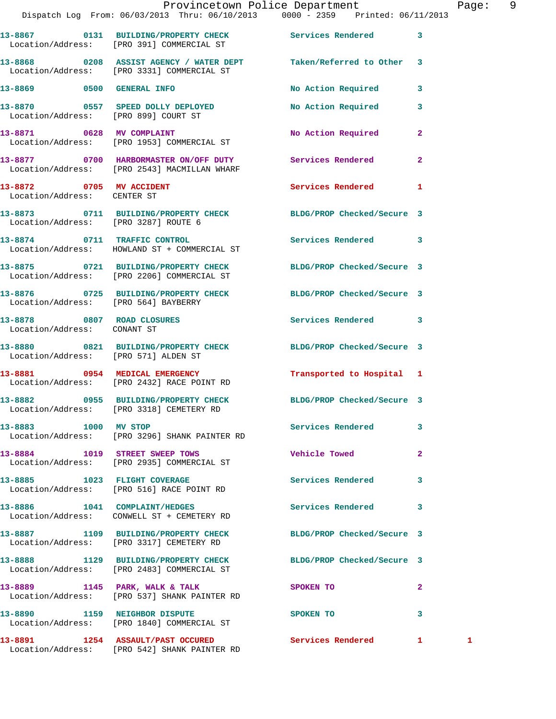|                                      | Provincetown Police Department<br>Dispatch Log From: 06/03/2013 Thru: 06/10/2013 0000 - 2359 Printed: 06/11/2013 |                                    |                         | Page: 9 |  |
|--------------------------------------|------------------------------------------------------------------------------------------------------------------|------------------------------------|-------------------------|---------|--|
|                                      | 13-8867 		 0131 BUILDING/PROPERTY CHECK Services Rendered 3<br>Location/Address: [PRO 391] COMMERCIAL ST         |                                    |                         |         |  |
|                                      | 13-8868 0208 ASSIST AGENCY / WATER DEPT Taken/Referred to Other 3<br>Location/Address: [PRO 3331] COMMERCIAL ST  |                                    |                         |         |  |
|                                      | 13-8869 0500 GENERAL INFO                                                                                        | No Action Required 3               |                         |         |  |
|                                      | 13-8870 0557 SPEED DOLLY DEPLOYED<br>Location/Address: [PRO 899] COURT ST                                        | No Action Required                 | $\overline{\mathbf{3}}$ |         |  |
|                                      | 13-8871 0628 MV COMPLAINT<br>Location/Address: [PRO 1953] COMMERCIAL ST                                          | No Action Required                 | $\mathbf{2}$            |         |  |
|                                      | 13-8877 0700 HARBORMASTER ON/OFF DUTY Services Rendered<br>Location/Address: [PRO 2543] MACMILLAN WHARF          |                                    | $\mathbf{2}$            |         |  |
| Location/Address: CENTER ST          | 13-8872 0705 MV ACCIDENT                                                                                         | Services Rendered 1                |                         |         |  |
| Location/Address: [PRO 3287] ROUTE 6 | 13-8873 0711 BUILDING/PROPERTY CHECK BLDG/PROP Checked/Secure 3                                                  |                                    |                         |         |  |
|                                      | 13-8874 0711 TRAFFIC CONTROL<br>Location/Address: HOWLAND ST + COMMERCIAL ST                                     | Services Rendered 3                |                         |         |  |
|                                      | 13-8875 0721 BUILDING/PROPERTY CHECK BLDG/PROP Checked/Secure 3<br>Location/Address: [PRO 2206] COMMERCIAL ST    |                                    |                         |         |  |
| Location/Address: [PRO 564] BAYBERRY | 13-8876 0725 BUILDING/PROPERTY CHECK BLDG/PROP Checked/Secure 3                                                  |                                    |                         |         |  |
| Location/Address: CONANT ST          | 13-8878 0807 ROAD CLOSURES                                                                                       | Services Rendered 3                |                         |         |  |
| Location/Address: [PRO 571] ALDEN ST | 13-8880 0821 BUILDING/PROPERTY CHECK BLDG/PROP Checked/Secure 3                                                  |                                    |                         |         |  |
|                                      | 13-8881 0954 MEDICAL EMERGENCY<br>Location/Address: [PRO 2432] RACE POINT RD                                     | Transported to Hospital 1          |                         |         |  |
| 13-8882                              | 0955 BUILDING/PROPERTY CHECK<br>Location/Address: [PRO 3318] CEMETERY RD                                         | BLDG/PROP Checked/Secure 3         |                         |         |  |
| 13-8883 1000 MV STOP                 | Location/Address: [PRO 3296] SHANK PAINTER RD                                                                    | Services Rendered 3                |                         |         |  |
|                                      | 13-8884 1019 STREET SWEEP TOWS<br>Location/Address: [PRO 2935] COMMERCIAL ST                                     | Vehicle Towed <b>Search Struck</b> | $\mathbf{2}$            |         |  |
|                                      | 13-8885 1023 FLIGHT COVERAGE<br>Location/Address: [PRO 516] RACE POINT RD                                        | Services Rendered                  | 3                       |         |  |
|                                      | 13-8886 1041 COMPLAINT/HEDGES<br>Location/Address: CONWELL ST + CEMETERY RD                                      | Services Rendered 3                |                         |         |  |
|                                      | 13-8887 1109 BUILDING/PROPERTY CHECK BLDG/PROP Checked/Secure 3<br>Location/Address: [PRO 3317] CEMETERY RD      |                                    |                         |         |  |
|                                      | 13-8888 1129 BUILDING/PROPERTY CHECK BLDG/PROP Checked/Secure 3<br>Location/Address: [PRO 2483] COMMERCIAL ST    |                                    |                         |         |  |
|                                      | 13-8889 1145 PARK, WALK & TALK<br>Location/Address: [PRO 537] SHANK PAINTER RD                                   | SPOKEN TO                          | $\mathbf{2}$            |         |  |
|                                      | 13-8890 1159 NEIGHBOR DISPUTE<br>Location/Address: [PRO 1840] COMMERCIAL ST                                      | <b>SPOKEN TO</b>                   | 3                       |         |  |
|                                      | 13-8891 1254 ASSAULT/PAST OCCURED<br>Location/Address: [PRO 542] SHANK PAINTER RD                                | Services Rendered 1                |                         | 1       |  |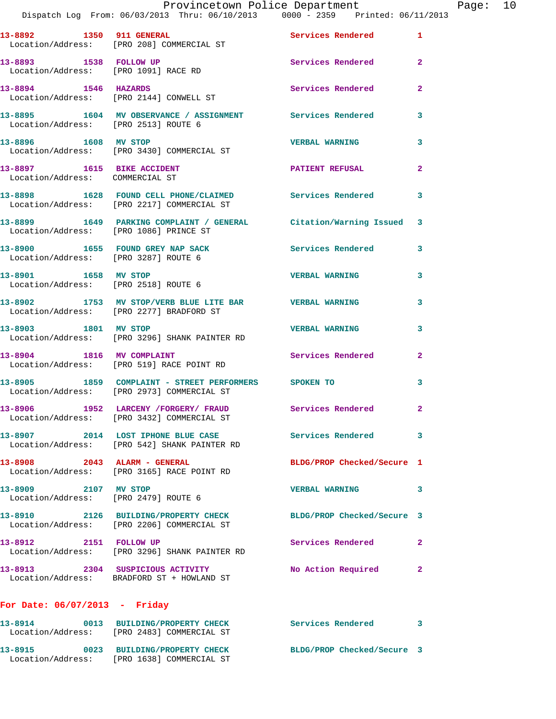|                                                               | Provincetown Police Department Fage: 10<br>Dispatch Log From: 06/03/2013 Thru: 06/10/2013 0000 - 2359 Printed: 06/11/2013 |                            |              |  |
|---------------------------------------------------------------|---------------------------------------------------------------------------------------------------------------------------|----------------------------|--------------|--|
|                                                               | 13-8892 1350 911 GENERAL<br>Location/Address: [PRO 208] COMMERCIAL ST                                                     | Services Rendered 1        |              |  |
|                                                               | 13-8893 1538 FOLLOW UP<br>Location/Address: [PRO 1091] RACE RD                                                            | Services Rendered          | $\mathbf{2}$ |  |
|                                                               | 13-8894 1546 HAZARDS<br>Location/Address: [PRO 2144] CONWELL ST                                                           | Services Rendered          | $\mathbf{2}$ |  |
|                                                               | 13-8895 1604 MV OBSERVANCE / ASSIGNMENT Services Rendered<br>Location/Address: [PRO 2513] ROUTE 6                         |                            | $\mathbf{3}$ |  |
|                                                               | 13-8896 1608 MV STOP<br>Location/Address: [PRO 3430] COMMERCIAL ST                                                        | <b>VERBAL WARNING</b>      | 3            |  |
| 13-8897 1615 BIKE ACCIDENT<br>Location/Address: COMMERCIAL ST |                                                                                                                           | PATIENT REFUSAL            | $\mathbf{2}$ |  |
|                                                               | 13-8898 1628 FOUND CELL PHONE/CLAIMED Services Rendered 3<br>Location/Address: [PRO 2217] COMMERCIAL ST                   |                            |              |  |
|                                                               | 13-8899 1649 PARKING COMPLAINT / GENERAL Citation/Warning Issued 3<br>Location/Address: [PRO 1086] PRINCE ST              |                            |              |  |
|                                                               | 13-8900 1655 FOUND GREY NAP SACK Services Rendered 3<br>Location/Address: [PRO 3287] ROUTE 6                              |                            |              |  |
| Location/Address: [PRO 2518] ROUTE 6                          | 13-8901 1658 MV STOP                                                                                                      | <b>VERBAL WARNING</b>      | 3            |  |
|                                                               | 13-8902 1753 MV STOP/VERB BLUE LITE BAR VERBAL WARNING<br>Location/Address: [PRO 2277] BRADFORD ST                        |                            | 3            |  |
|                                                               | 13-8903 1801 MV STOP<br>Location/Address: [PRO 3296] SHANK PAINTER RD                                                     | <b>VERBAL WARNING</b>      | 3            |  |
|                                                               | 13-8904 1816 MV COMPLAINT<br>Location/Address: [PRO 519] RACE POINT RD                                                    | Services Rendered          | $\mathbf{2}$ |  |
|                                                               | 13-8905   1859   COMPLAINT - STREET PERFORMERS   SPOKEN TO<br>Location/Address: [PRO 2973] COMMERCIAL ST                  |                            | 3            |  |
|                                                               | 13-8906 1952 LARCENY / FORGERY / FRAUD<br>Location/Address: [PRO 3432] COMMERCIAL ST                                      | <b>Services Rendered</b>   |              |  |
|                                                               | 13-8907 2014 LOST IPHONE BLUE CASE Services Rendered<br>Location/Address: [PRO 542] SHANK PAINTER RD                      |                            | 3            |  |
| 13-8908 2043 ALARM - GENERAL                                  | Location/Address: [PRO 3165] RACE POINT RD                                                                                | BLDG/PROP Checked/Secure 1 |              |  |
| 13-8909 2107 MV STOP                                          | Location/Address: [PRO 2479] ROUTE 6                                                                                      | <b>VERBAL WARNING</b>      | 3            |  |
|                                                               | 13-8910 2126 BUILDING/PROPERTY CHECK BLDG/PROP Checked/Secure 3<br>Location/Address: [PRO 2206] COMMERCIAL ST             |                            |              |  |
|                                                               | 13-8912 2151 FOLLOW UP<br>Location/Address: [PRO 3296] SHANK PAINTER RD                                                   | Services Rendered          | 2            |  |
|                                                               | 13-8913 2304 SUSPICIOUS ACTIVITY<br>Location/Address: BRADFORD ST + HOWLAND ST                                            | No Action Required         | $\mathbf{2}$ |  |
| For Date: $06/07/2013$ - Friday                               |                                                                                                                           |                            |              |  |
|                                                               | 13-8914 0013 BUILDING/PROPERTY CHECK                                                                                      | Services Rendered 3        |              |  |

 Location/Address: [PRO 2483] COMMERCIAL ST **13-8915 0023 BUILDING/PROPERTY CHECK BLDG/PROP Checked/Secure 3**  Location/Address: [PRO 1638] COMMERCIAL ST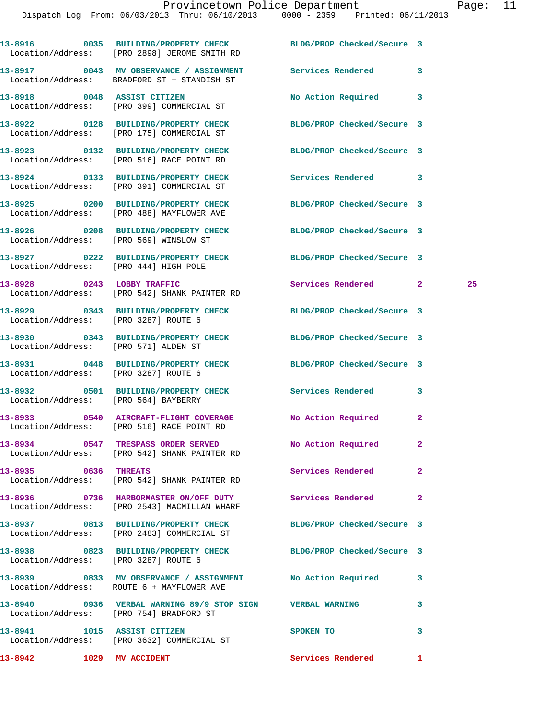|                                       | 13-8916 0035 BUILDING/PROPERTY CHECK BLDG/PROP Checked/Secure 3<br>Location/Address: [PRO 2898] JEROME SMITH RD |                            |                |    |
|---------------------------------------|-----------------------------------------------------------------------------------------------------------------|----------------------------|----------------|----|
|                                       | 13-8917 0043 MV OBSERVANCE / ASSIGNMENT Services Rendered<br>Location/Address: BRADFORD ST + STANDISH ST        |                            | $\mathbf{3}$   |    |
|                                       | 13-8918 0048 ASSIST CITIZEN<br>Location/Address: [PRO 399] COMMERCIAL ST                                        | No Action Required 3       |                |    |
|                                       | 13-8922 0128 BUILDING/PROPERTY CHECK BLDG/PROP Checked/Secure 3<br>Location/Address: [PRO 175] COMMERCIAL ST    |                            |                |    |
|                                       | 13-8923 0132 BUILDING/PROPERTY CHECK BLDG/PROP Checked/Secure 3<br>Location/Address: [PRO 516] RACE POINT RD    |                            |                |    |
|                                       | 13-8924 0133 BUILDING/PROPERTY CHECK<br>Location/Address: [PRO 391] COMMERCIAL ST                               | Services Rendered 3        |                |    |
|                                       | 13-8925 0200 BUILDING/PROPERTY CHECK<br>Location/Address: [PRO 488] MAYFLOWER AVE                               | BLDG/PROP Checked/Secure 3 |                |    |
|                                       | 13-8926 0208 BUILDING/PROPERTY CHECK<br>Location/Address: [PRO 569] WINSLOW ST                                  | BLDG/PROP Checked/Secure 3 |                |    |
| Location/Address: [PRO 444] HIGH POLE | 13-8927 0222 BUILDING/PROPERTY CHECK BLDG/PROP Checked/Secure 3                                                 |                            |                |    |
|                                       | 13-8928 0243 LOBBY TRAFFIC<br>Location/Address: [PRO 542] SHANK PAINTER RD                                      | Services Rendered 2        |                | 25 |
| Location/Address: [PRO 3287] ROUTE 6  | 13-8929 0343 BUILDING/PROPERTY CHECK BLDG/PROP Checked/Secure 3                                                 |                            |                |    |
| Location/Address: [PRO 571] ALDEN ST  | 13-8930 0343 BUILDING/PROPERTY CHECK BLDG/PROP Checked/Secure 3                                                 |                            |                |    |
| Location/Address: [PRO 3287] ROUTE 6  | 13-8931 0448 BUILDING/PROPERTY CHECK BLDG/PROP Checked/Secure 3                                                 |                            |                |    |
| Location/Address: [PRO 564] BAYBERRY  | 13-8932 0501 BUILDING/PROPERTY CHECK Services Rendered 3                                                        |                            |                |    |
|                                       | 13-8933 0540 AIRCRAFT-FLIGHT COVERAGE<br>Location/Address: [PRO 516] RACE POINT RD                              | No Action Required         | $\mathbf{2}$   |    |
|                                       | 13-8934 0547 TRESPASS ORDER SERVED<br>Location/Address: [PRO 542] SHANK PAINTER RD                              | No Action Required 2       |                |    |
| 13-8935 0636 THREATS                  | Location/Address: [PRO 542] SHANK PAINTER RD                                                                    | Services Rendered          | $\overline{2}$ |    |
|                                       | 13-8936 		 0736 HARBORMASTER ON/OFF DUTY Services Rendered<br>Location/Address: [PRO 2543] MACMILLAN WHARF      |                            | $\overline{a}$ |    |
|                                       | 13-8937 0813 BUILDING/PROPERTY CHECK BLDG/PROP Checked/Secure 3<br>Location/Address: [PRO 2483] COMMERCIAL ST   |                            |                |    |
| Location/Address: [PRO 3287] ROUTE 6  | 13-8938 0823 BUILDING/PROPERTY CHECK                                                                            | BLDG/PROP Checked/Secure 3 |                |    |
|                                       | 13-8939 6833 MV OBSERVANCE / ASSIGNMENT No Action Required<br>Location/Address: ROUTE 6 + MAYFLOWER AVE         |                            | 3              |    |
|                                       | 13-8940 0936 VERBAL WARNING 89/9 STOP SIGN VERBAL WARNING<br>Location/Address: [PRO 754] BRADFORD ST            |                            | 3              |    |
|                                       | 13-8941 1015 ASSIST CITIZEN<br>Location/Address: [PRO 3632] COMMERCIAL ST                                       | SPOKEN TO                  | 3              |    |

13-8942 1029 MV ACCIDENT **13-8942** Services Rendered 1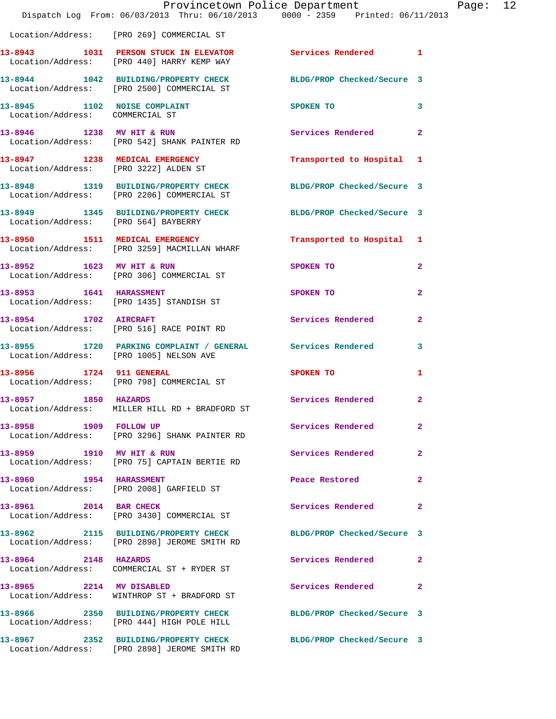|                                 | Provincetown Police Department The Rage: 12<br>Dispatch Log From: 06/03/2013 Thru: 06/10/2013 0000 - 2359 Printed: 06/11/2013 |                                                                                                                                                                                                                                            |              |  |
|---------------------------------|-------------------------------------------------------------------------------------------------------------------------------|--------------------------------------------------------------------------------------------------------------------------------------------------------------------------------------------------------------------------------------------|--------------|--|
|                                 | Location/Address: [PRO 269] COMMERCIAL ST                                                                                     |                                                                                                                                                                                                                                            |              |  |
|                                 | 13-8943 1031 PERSON STUCK IN ELEVATOR Services Rendered 1<br>Location/Address: [PRO 440] HARRY KEMP WAY                       |                                                                                                                                                                                                                                            |              |  |
|                                 | 13-8944 1042 BUILDING/PROPERTY CHECK BLDG/PROP Checked/Secure 3<br>Location/Address: [PRO 2500] COMMERCIAL ST                 |                                                                                                                                                                                                                                            |              |  |
| Location/Address: COMMERCIAL ST | 13-8945 1102 NOISE COMPLAINT                                                                                                  | SPOKEN TO THE SPOKEN OF THE SPOKEN OF THE SPOKEN OF THE SPOKEN OF THE SPOKEN OF THE SPOKEN OF THE SPOKEN OF THE SPOKEN OF THE SPOKEN OF THE SPOKEN OF THE SPOKEN OF THE SPOKEN OF THE SPOKEN OF THE SPOKEN OF THE SPOKEN OF TH<br>$\sim$ 3 |              |  |
|                                 | 13-8946 1238 MV HIT & RUN Services Rendered 2<br>Location/Address: [PRO 542] SHANK PAINTER RD                                 |                                                                                                                                                                                                                                            |              |  |
|                                 | 13-8947 1238 MEDICAL EMERGENCY<br>Location/Address: [PRO 3222] ALDEN ST                                                       | Transported to Hospital 1                                                                                                                                                                                                                  |              |  |
|                                 | 13-8948 1319 BUILDING/PROPERTY CHECK BLDG/PROP Checked/Secure 3<br>Location/Address: [PRO 2206] COMMERCIAL ST                 |                                                                                                                                                                                                                                            |              |  |
|                                 | 13-8949 1345 BUILDING/PROPERTY CHECK BLDG/PROP Checked/Secure 3<br>Location/Address: [PRO 564] BAYBERRY                       |                                                                                                                                                                                                                                            |              |  |
|                                 | 13-8950 1511 MEDICAL EMERGENCY<br>Location/Address: [PRO 3259] MACMILLAN WHARF                                                | Transported to Hospital 1                                                                                                                                                                                                                  |              |  |
|                                 | 13-8952 1623 MV HIT & RUN<br>Location/Address: [PRO 306] COMMERCIAL ST                                                        | <b>SPOKEN TO</b>                                                                                                                                                                                                                           | $\mathbf{2}$ |  |
|                                 | 13-8953 1641 HARASSMENT<br>Location/Address: [PRO 1435] STANDISH ST                                                           | SPOKEN TO                                                                                                                                                                                                                                  | $\mathbf{2}$ |  |
|                                 | 13-8954 1702 AIRCRAFT<br>Location/Address: [PRO 516] RACE POINT RD                                                            | Services Rendered 2                                                                                                                                                                                                                        |              |  |
|                                 | 13-8955 1720 PARKING COMPLAINT / GENERAL Services Rendered 3<br>Location/Address: [PRO 1005] NELSON AVE                       |                                                                                                                                                                                                                                            |              |  |
| 13-8956 1724 911 GENERAL        | Location/Address: [PRO 798] COMMERCIAL ST                                                                                     | SPOKEN TO                                                                                                                                                                                                                                  | 1            |  |
| 13-8957 1850 HAZARDS            | Location/Address: MILLER HILL RD + BRADFORD ST                                                                                | Services Rendered 2                                                                                                                                                                                                                        |              |  |
| 13-8958 1909 FOLLOW UP          | Location/Address: [PRO 3296] SHANK PAINTER RD                                                                                 | Services Rendered                                                                                                                                                                                                                          | $\mathbf{2}$ |  |
| 13-8959 1910 MV HIT & RUN       | Location/Address: [PRO 75] CAPTAIN BERTIE RD                                                                                  | Services Rendered                                                                                                                                                                                                                          | $\mathbf{2}$ |  |
| 13-8960 1954 HARASSMENT         | Location/Address: [PRO 2008] GARFIELD ST                                                                                      | Peace Restored                                                                                                                                                                                                                             | $\mathbf{2}$ |  |
| 13-8961 2014 BAR CHECK          | Location/Address: [PRO 3430] COMMERCIAL ST                                                                                    | Services Rendered                                                                                                                                                                                                                          | 2            |  |
|                                 | 13-8962 2115 BUILDING/PROPERTY CHECK<br>Location/Address: [PRO 2898] JEROME SMITH RD                                          | BLDG/PROP Checked/Secure 3                                                                                                                                                                                                                 |              |  |
| 13-8964 2148 HAZARDS            | Location/Address: COMMERCIAL ST + RYDER ST                                                                                    | Services Rendered                                                                                                                                                                                                                          | $\mathbf{2}$ |  |
| 13-8965 2214 MV DISABLED        | Location/Address: WINTHROP ST + BRADFORD ST                                                                                   | Services Rendered 2                                                                                                                                                                                                                        |              |  |
|                                 | 13-8966 2350 BUILDING/PROPERTY CHECK<br>Location/Address: [PRO 444] HIGH POLE HILL                                            | BLDG/PROP Checked/Secure 3                                                                                                                                                                                                                 |              |  |
|                                 | 13-8967 2352 BUILDING/PROPERTY CHECK BLDG/PROP Checked/Secure 3<br>Location/Address: [PRO 2898] JEROME SMITH RD               |                                                                                                                                                                                                                                            |              |  |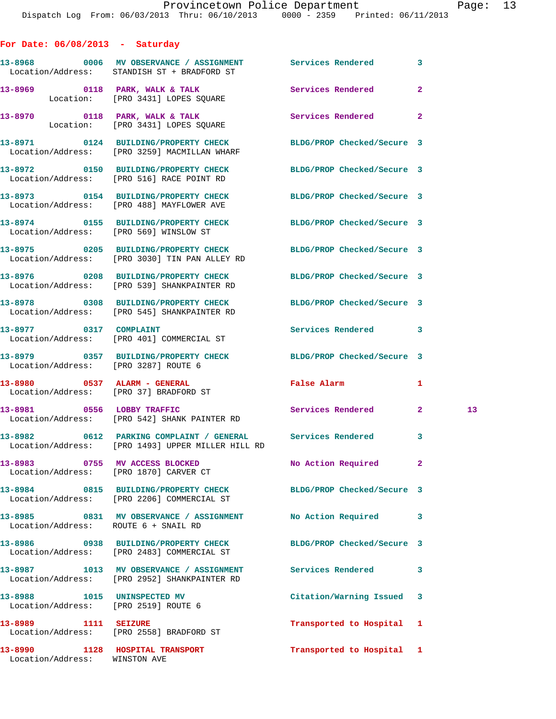| For Date: $06/08/2013$ - Saturday                                   |                                                                                                                   |                            |              |    |
|---------------------------------------------------------------------|-------------------------------------------------------------------------------------------------------------------|----------------------------|--------------|----|
|                                                                     | 13-8968 6006 MV OBSERVANCE / ASSIGNMENT Services Rendered<br>Location/Address: STANDISH ST + BRADFORD ST          |                            | $\mathbf{3}$ |    |
|                                                                     | 13-8969 0118 PARK, WALK & TALK 3 Services Rendered<br>Location: [PRO 3431] LOPES SQUARE                           |                            | $\mathbf{2}$ |    |
|                                                                     | 13-8970 0118 PARK, WALK & TALK<br>Location: [PRO 3431] LOPES SQUARE                                               | Services Rendered          | $\mathbf{2}$ |    |
|                                                                     | 13-8971 0124 BUILDING/PROPERTY CHECK BLDG/PROP Checked/Secure 3<br>Location/Address: [PRO 3259] MACMILLAN WHARF   |                            |              |    |
|                                                                     | 13-8972 0150 BUILDING/PROPERTY CHECK<br>Location/Address: [PRO 516] RACE POINT RD                                 | BLDG/PROP Checked/Secure 3 |              |    |
|                                                                     | 13-8973 0154 BUILDING/PROPERTY CHECK<br>Location/Address: [PRO 488] MAYFLOWER AVE                                 | BLDG/PROP Checked/Secure 3 |              |    |
| Location/Address: [PRO 569] WINSLOW ST                              | 13-8974 0155 BUILDING/PROPERTY CHECK                                                                              | BLDG/PROP Checked/Secure 3 |              |    |
|                                                                     | 13-8975 0205 BUILDING/PROPERTY CHECK BLDG/PROP Checked/Secure 3<br>Location/Address: [PRO 3030] TIN PAN ALLEY RD  |                            |              |    |
|                                                                     | 13-8976 0208 BUILDING/PROPERTY CHECK BLDG/PROP Checked/Secure 3<br>Location/Address: [PRO 539] SHANKPAINTER RD    |                            |              |    |
|                                                                     | 13-8978 0308 BUILDING/PROPERTY CHECK BLDG/PROP Checked/Secure 3<br>Location/Address: [PRO 545] SHANKPAINTER RD    |                            |              |    |
| 13-8977 0317 COMPLAINT                                              | Location/Address: [PRO 401] COMMERCIAL ST                                                                         | Services Rendered 3        |              |    |
|                                                                     | 13-8979 0357 BUILDING/PROPERTY CHECK<br>Location/Address: [PRO 3287] ROUTE 6                                      | BLDG/PROP Checked/Secure 3 |              |    |
| 13-8980 0537 ALARM - GENERAL                                        | Location/Address: [PRO 37] BRADFORD ST                                                                            | False Alarm                | 1            |    |
|                                                                     | 13-8981 0556 LOBBY TRAFFIC<br>Location/Address: [PRO 542] SHANK PAINTER RD                                        | Services Rendered 2        |              | 13 |
|                                                                     | 13-8982 0612 PARKING COMPLAINT / GENERAL Services Rendered 3<br>Location/Address: [PRO 1493] UPPER MILLER HILL RD |                            |              |    |
|                                                                     | 13-8983 0755 MV ACCESS BLOCKED<br>Location/Address: [PRO 1870] CARVER CT                                          | No Action Required         | 2            |    |
|                                                                     | 13-8984 0815 BUILDING/PROPERTY CHECK BLDG/PROP Checked/Secure 3<br>Location/Address: [PRO 2206] COMMERCIAL ST     |                            |              |    |
| Location/Address: ROUTE 6 + SNAIL RD                                | 13-8985 0831 MV OBSERVANCE / ASSIGNMENT No Action Required                                                        |                            | 3            |    |
|                                                                     | 13-8986 0938 BUILDING/PROPERTY CHECK<br>Location/Address: [PRO 2483] COMMERCIAL ST                                | BLDG/PROP Checked/Secure 3 |              |    |
|                                                                     | 13-8987 1013 MV OBSERVANCE / ASSIGNMENT<br>Location/Address: [PRO 2952] SHANKPAINTER RD                           | Services Rendered          | 3            |    |
| 13-8988 1015 UNINSPECTED MV<br>Location/Address: [PRO 2519] ROUTE 6 |                                                                                                                   | Citation/Warning Issued 3  |              |    |
| 13-8989 1111 SEIZURE                                                | Location/Address: [PRO 2558] BRADFORD ST                                                                          | Transported to Hospital 1  |              |    |

Location/Address: WINSTON AVE

**13-8990 1128 HOSPITAL TRANSPORT Transported to Hospital 1**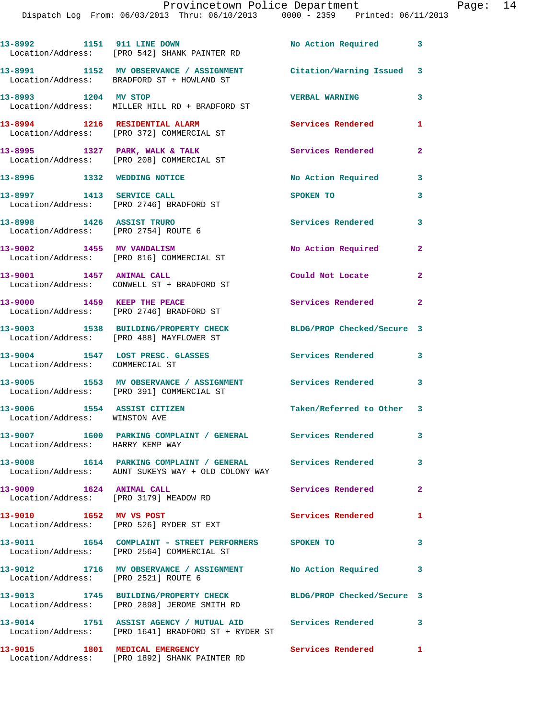|                                                                   | 13-8992 1151 911 LINE DOWN<br>Location/Address: [PRO 542] SHANK PAINTER RD                                         | No Action Required 3       |                            |
|-------------------------------------------------------------------|--------------------------------------------------------------------------------------------------------------------|----------------------------|----------------------------|
|                                                                   | 13-8991 1152 MV OBSERVANCE / ASSIGNMENT Citation/Warning Issued 3<br>Location/Address: BRADFORD ST + HOWLAND ST    |                            |                            |
| 13-8993 1204 MV STOP                                              | Location/Address: MILLER HILL RD + BRADFORD ST                                                                     | <b>VERBAL WARNING</b>      | $\mathbf{3}$               |
|                                                                   | 13-8994 1216 RESIDENTIAL ALARM<br>Location/Address: [PRO 372] COMMERCIAL ST                                        | Services Rendered          | 1                          |
|                                                                   | 13-8995 1327 PARK, WALK & TALK<br>Location/Address: [PRO 208] COMMERCIAL ST                                        | Services Rendered          | $\mathbf{2}$               |
| 13-8996 1332 WEDDING NOTICE                                       |                                                                                                                    | No Action Required         | 3                          |
| 13-8997 1413 SERVICE CALL                                         | Location/Address: [PRO 2746] BRADFORD ST                                                                           | SPOKEN TO                  | 3                          |
| 13-8998 1426 ASSIST TRURO<br>Location/Address: [PRO 2754] ROUTE 6 |                                                                                                                    | <b>Services Rendered</b>   | 3                          |
| 13-9002 1455 MV VANDALISM                                         | Location/Address: [PRO 816] COMMERCIAL ST                                                                          | No Action Required         | $\mathbf{2}$               |
|                                                                   | 13-9001 1457 ANIMAL CALL<br>Location/Address: CONWELL ST + BRADFORD ST                                             | Could Not Locate           | $\mathbf{2}$               |
| 13-9000 1459 KEEP THE PEACE                                       | Location/Address: [PRO 2746] BRADFORD ST                                                                           | Services Rendered          | $\overline{\phantom{0}}$ 2 |
|                                                                   | 13-9003 1538 BUILDING/PROPERTY CHECK<br>Location/Address: [PRO 488] MAYFLOWER ST                                   | BLDG/PROP Checked/Secure 3 |                            |
| Location/Address: COMMERCIAL ST                                   | 13-9004 1547 LOST PRESC. GLASSES                                                                                   | <b>Services Rendered</b>   | $\overline{\phantom{a}}$ 3 |
|                                                                   | 13-9005 1553 MV OBSERVANCE / ASSIGNMENT Services Rendered 3<br>Location/Address: [PRO 391] COMMERCIAL ST           |                            |                            |
| 13-9006 1554 ASSIST CITIZEN<br>Location/Address: WINSTON AVE      |                                                                                                                    | Taken/Referred to Other 3  |                            |
| Location/Address: HARRY KEMP WAY                                  | 13-9007 1600 PARKING COMPLAINT / GENERAL Services Rendered                                                         |                            | 3                          |
|                                                                   | 13-9008 1614 PARKING COMPLAINT / GENERAL Services Rendered 3<br>Location/Address: AUNT SUKEYS WAY + OLD COLONY WAY |                            |                            |
| 13-9009 1624 ANIMAL CALL                                          | Location/Address: [PRO 3179] MEADOW RD                                                                             | Services Rendered          | $\mathbf{2}$               |
| 13-9010 1652 MV VS POST                                           | Location/Address: [PRO 526] RYDER ST EXT                                                                           | Services Rendered 1        |                            |
|                                                                   | 13-9011 1654 COMPLAINT - STREET PERFORMERS SPOKEN TO<br>Location/Address: [PRO 2564] COMMERCIAL ST                 |                            | 3                          |
| Location/Address: [PRO 2521] ROUTE 6                              | 13-9012 1716 MV OBSERVANCE / ASSIGNMENT No Action Required 3                                                       |                            |                            |
|                                                                   | 13-9013 1745 BUILDING/PROPERTY CHECK BLDG/PROP Checked/Secure 3<br>Location/Address: [PRO 2898] JEROME SMITH RD    |                            |                            |
|                                                                   | 13-9014 1751 ASSIST AGENCY / MUTUAL AID Services Rendered 3<br>Location/Address: [PRO 1641] BRADFORD ST + RYDER ST |                            |                            |
|                                                                   |                                                                                                                    |                            |                            |

**13-9015 1801 MEDICAL EMERGENCY Services Rendered 1**  Location/Address: [PRO 1892] SHANK PAINTER RD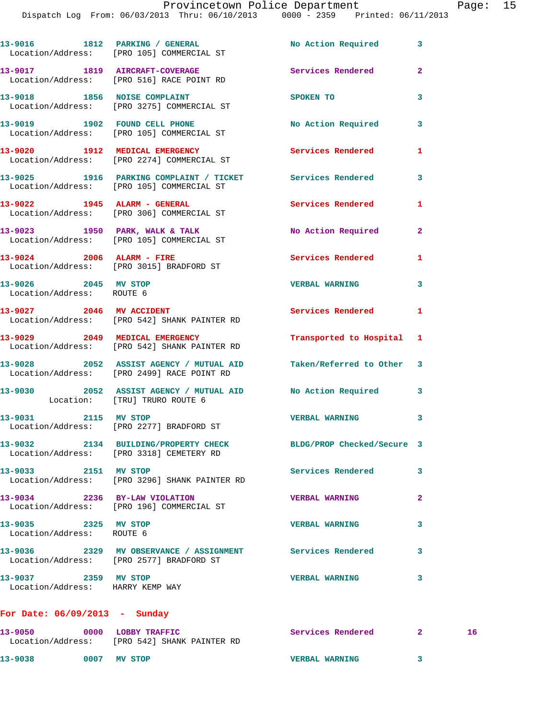Dispatch Log From: 06/03/2013 Thru: 06/10/2013 0000 - 2359 Printed: 06/11/2013

| 13-9016 1812 PARKING / GENERAL No Action Required 3<br>Location/Address: [PRO 105] COMMERCIAL ST<br>13-9017 1819 AIRCRAFT-COVERAGE<br><b>Services Rendered</b><br>$\mathbf{2}$<br>Location/Address: [PRO 516] RACE POINT RD<br>13-9018 1856 NOISE COMPLAINT<br>3<br>SPOKEN TO<br>Location/Address: [PRO 3275] COMMERCIAL ST<br>13-9019 1902 FOUND CELL PHONE<br>No Action Required<br>3<br>Location/Address: [PRO 105] COMMERCIAL ST<br>13-9020 1912 MEDICAL EMERGENCY<br>Services Rendered<br>1<br>Location/Address: [PRO 2274] COMMERCIAL ST<br>13-9025 1916 PARKING COMPLAINT / TICKET Services Rendered<br>3<br>Location/Address: [PRO 105] COMMERCIAL ST<br>13-9022 1945 ALARM - GENERAL<br><b>Services Rendered</b><br>1<br>Location/Address: [PRO 306] COMMERCIAL ST<br>13-9023 1950 PARK, WALK & TALK<br>No Action Required<br>$\mathbf{2}$<br>Location/Address: [PRO 105] COMMERCIAL ST<br>13-9024 2006 ALARM - FIRE<br><b>Services Rendered</b><br>1<br>Location/Address: [PRO 3015] BRADFORD ST<br>13-9026 2045 MV STOP<br><b>VERBAL WARNING</b><br>3<br>Location/Address: ROUTE 6<br>13-9027 2046 MV ACCIDENT<br>Services Rendered<br>1<br>Location/Address: [PRO 542] SHANK PAINTER RD<br>13-9029 2049 MEDICAL EMERGENCY<br>Transported to Hospital 1<br>Location/Address: [PRO 542] SHANK PAINTER RD<br>13-9028 2052 ASSIST AGENCY / MUTUAL AID Taken/Referred to Other 3<br>Location/Address: [PRO 2499] RACE POINT RD<br>13-9030 2052 ASSIST AGENCY / MUTUAL AID No Action Required<br>3<br>Location: [TRU] TRURO ROUTE 6<br>13-9031 2115 MV STOP<br><b>VERBAL WARNING</b><br>3<br>Location/Address: [PRO 2277] BRADFORD ST<br>13-9032 2134 BUILDING/PROPERTY CHECK<br>BLDG/PROP Checked/Secure 3<br>Location/Address: [PRO 3318] CEMETERY RD<br>13-9033 2151 MV STOP<br><b>Services Rendered</b><br>3<br>Location/Address: [PRO 3296] SHANK PAINTER RD<br>13-9034 2236 BY-LAW VIOLATION<br><b>VERBAL WARNING</b><br>$\mathbf{2}$<br>Location/Address: [PRO 196] COMMERCIAL ST<br>13-9035 2325 MV STOP<br><b>VERBAL WARNING</b><br>3<br>Location/Address: ROUTE 6<br>13-9036 2329 MV OBSERVANCE / ASSIGNMENT Services Rendered<br>3<br>Location/Address: [PRO 2577] BRADFORD ST<br>13-9037 2359 MV STOP<br><b>VERBAL WARNING</b><br>3<br>Location/Address: HARRY KEMP WAY<br>For Date: $06/09/2013$ - Sunday |  |  |
|------------------------------------------------------------------------------------------------------------------------------------------------------------------------------------------------------------------------------------------------------------------------------------------------------------------------------------------------------------------------------------------------------------------------------------------------------------------------------------------------------------------------------------------------------------------------------------------------------------------------------------------------------------------------------------------------------------------------------------------------------------------------------------------------------------------------------------------------------------------------------------------------------------------------------------------------------------------------------------------------------------------------------------------------------------------------------------------------------------------------------------------------------------------------------------------------------------------------------------------------------------------------------------------------------------------------------------------------------------------------------------------------------------------------------------------------------------------------------------------------------------------------------------------------------------------------------------------------------------------------------------------------------------------------------------------------------------------------------------------------------------------------------------------------------------------------------------------------------------------------------------------------------------------------------------------------------------------------------------------------------------------------------------------------------------------------------------------------------------------------------------------------------------------------------------------------------------------------------------------------------------------------------------------------------------------------------|--|--|
|                                                                                                                                                                                                                                                                                                                                                                                                                                                                                                                                                                                                                                                                                                                                                                                                                                                                                                                                                                                                                                                                                                                                                                                                                                                                                                                                                                                                                                                                                                                                                                                                                                                                                                                                                                                                                                                                                                                                                                                                                                                                                                                                                                                                                                                                                                                              |  |  |
|                                                                                                                                                                                                                                                                                                                                                                                                                                                                                                                                                                                                                                                                                                                                                                                                                                                                                                                                                                                                                                                                                                                                                                                                                                                                                                                                                                                                                                                                                                                                                                                                                                                                                                                                                                                                                                                                                                                                                                                                                                                                                                                                                                                                                                                                                                                              |  |  |
|                                                                                                                                                                                                                                                                                                                                                                                                                                                                                                                                                                                                                                                                                                                                                                                                                                                                                                                                                                                                                                                                                                                                                                                                                                                                                                                                                                                                                                                                                                                                                                                                                                                                                                                                                                                                                                                                                                                                                                                                                                                                                                                                                                                                                                                                                                                              |  |  |
|                                                                                                                                                                                                                                                                                                                                                                                                                                                                                                                                                                                                                                                                                                                                                                                                                                                                                                                                                                                                                                                                                                                                                                                                                                                                                                                                                                                                                                                                                                                                                                                                                                                                                                                                                                                                                                                                                                                                                                                                                                                                                                                                                                                                                                                                                                                              |  |  |
|                                                                                                                                                                                                                                                                                                                                                                                                                                                                                                                                                                                                                                                                                                                                                                                                                                                                                                                                                                                                                                                                                                                                                                                                                                                                                                                                                                                                                                                                                                                                                                                                                                                                                                                                                                                                                                                                                                                                                                                                                                                                                                                                                                                                                                                                                                                              |  |  |
|                                                                                                                                                                                                                                                                                                                                                                                                                                                                                                                                                                                                                                                                                                                                                                                                                                                                                                                                                                                                                                                                                                                                                                                                                                                                                                                                                                                                                                                                                                                                                                                                                                                                                                                                                                                                                                                                                                                                                                                                                                                                                                                                                                                                                                                                                                                              |  |  |
|                                                                                                                                                                                                                                                                                                                                                                                                                                                                                                                                                                                                                                                                                                                                                                                                                                                                                                                                                                                                                                                                                                                                                                                                                                                                                                                                                                                                                                                                                                                                                                                                                                                                                                                                                                                                                                                                                                                                                                                                                                                                                                                                                                                                                                                                                                                              |  |  |
|                                                                                                                                                                                                                                                                                                                                                                                                                                                                                                                                                                                                                                                                                                                                                                                                                                                                                                                                                                                                                                                                                                                                                                                                                                                                                                                                                                                                                                                                                                                                                                                                                                                                                                                                                                                                                                                                                                                                                                                                                                                                                                                                                                                                                                                                                                                              |  |  |
|                                                                                                                                                                                                                                                                                                                                                                                                                                                                                                                                                                                                                                                                                                                                                                                                                                                                                                                                                                                                                                                                                                                                                                                                                                                                                                                                                                                                                                                                                                                                                                                                                                                                                                                                                                                                                                                                                                                                                                                                                                                                                                                                                                                                                                                                                                                              |  |  |
|                                                                                                                                                                                                                                                                                                                                                                                                                                                                                                                                                                                                                                                                                                                                                                                                                                                                                                                                                                                                                                                                                                                                                                                                                                                                                                                                                                                                                                                                                                                                                                                                                                                                                                                                                                                                                                                                                                                                                                                                                                                                                                                                                                                                                                                                                                                              |  |  |
|                                                                                                                                                                                                                                                                                                                                                                                                                                                                                                                                                                                                                                                                                                                                                                                                                                                                                                                                                                                                                                                                                                                                                                                                                                                                                                                                                                                                                                                                                                                                                                                                                                                                                                                                                                                                                                                                                                                                                                                                                                                                                                                                                                                                                                                                                                                              |  |  |
|                                                                                                                                                                                                                                                                                                                                                                                                                                                                                                                                                                                                                                                                                                                                                                                                                                                                                                                                                                                                                                                                                                                                                                                                                                                                                                                                                                                                                                                                                                                                                                                                                                                                                                                                                                                                                                                                                                                                                                                                                                                                                                                                                                                                                                                                                                                              |  |  |
|                                                                                                                                                                                                                                                                                                                                                                                                                                                                                                                                                                                                                                                                                                                                                                                                                                                                                                                                                                                                                                                                                                                                                                                                                                                                                                                                                                                                                                                                                                                                                                                                                                                                                                                                                                                                                                                                                                                                                                                                                                                                                                                                                                                                                                                                                                                              |  |  |
|                                                                                                                                                                                                                                                                                                                                                                                                                                                                                                                                                                                                                                                                                                                                                                                                                                                                                                                                                                                                                                                                                                                                                                                                                                                                                                                                                                                                                                                                                                                                                                                                                                                                                                                                                                                                                                                                                                                                                                                                                                                                                                                                                                                                                                                                                                                              |  |  |
|                                                                                                                                                                                                                                                                                                                                                                                                                                                                                                                                                                                                                                                                                                                                                                                                                                                                                                                                                                                                                                                                                                                                                                                                                                                                                                                                                                                                                                                                                                                                                                                                                                                                                                                                                                                                                                                                                                                                                                                                                                                                                                                                                                                                                                                                                                                              |  |  |
|                                                                                                                                                                                                                                                                                                                                                                                                                                                                                                                                                                                                                                                                                                                                                                                                                                                                                                                                                                                                                                                                                                                                                                                                                                                                                                                                                                                                                                                                                                                                                                                                                                                                                                                                                                                                                                                                                                                                                                                                                                                                                                                                                                                                                                                                                                                              |  |  |
|                                                                                                                                                                                                                                                                                                                                                                                                                                                                                                                                                                                                                                                                                                                                                                                                                                                                                                                                                                                                                                                                                                                                                                                                                                                                                                                                                                                                                                                                                                                                                                                                                                                                                                                                                                                                                                                                                                                                                                                                                                                                                                                                                                                                                                                                                                                              |  |  |
|                                                                                                                                                                                                                                                                                                                                                                                                                                                                                                                                                                                                                                                                                                                                                                                                                                                                                                                                                                                                                                                                                                                                                                                                                                                                                                                                                                                                                                                                                                                                                                                                                                                                                                                                                                                                                                                                                                                                                                                                                                                                                                                                                                                                                                                                                                                              |  |  |
|                                                                                                                                                                                                                                                                                                                                                                                                                                                                                                                                                                                                                                                                                                                                                                                                                                                                                                                                                                                                                                                                                                                                                                                                                                                                                                                                                                                                                                                                                                                                                                                                                                                                                                                                                                                                                                                                                                                                                                                                                                                                                                                                                                                                                                                                                                                              |  |  |
|                                                                                                                                                                                                                                                                                                                                                                                                                                                                                                                                                                                                                                                                                                                                                                                                                                                                                                                                                                                                                                                                                                                                                                                                                                                                                                                                                                                                                                                                                                                                                                                                                                                                                                                                                                                                                                                                                                                                                                                                                                                                                                                                                                                                                                                                                                                              |  |  |
|                                                                                                                                                                                                                                                                                                                                                                                                                                                                                                                                                                                                                                                                                                                                                                                                                                                                                                                                                                                                                                                                                                                                                                                                                                                                                                                                                                                                                                                                                                                                                                                                                                                                                                                                                                                                                                                                                                                                                                                                                                                                                                                                                                                                                                                                                                                              |  |  |
|                                                                                                                                                                                                                                                                                                                                                                                                                                                                                                                                                                                                                                                                                                                                                                                                                                                                                                                                                                                                                                                                                                                                                                                                                                                                                                                                                                                                                                                                                                                                                                                                                                                                                                                                                                                                                                                                                                                                                                                                                                                                                                                                                                                                                                                                                                                              |  |  |

| 13-9050           | 0000 | <b>LOBBY TRAFFIC</b>       | Services Rendered     |  |
|-------------------|------|----------------------------|-----------------------|--|
| Location/Address: |      | FPRO 5421 SHANK PAINTER RD |                       |  |
| 13-9038           | 0007 | MV STOP                    | <b>VERBAL WARNING</b> |  |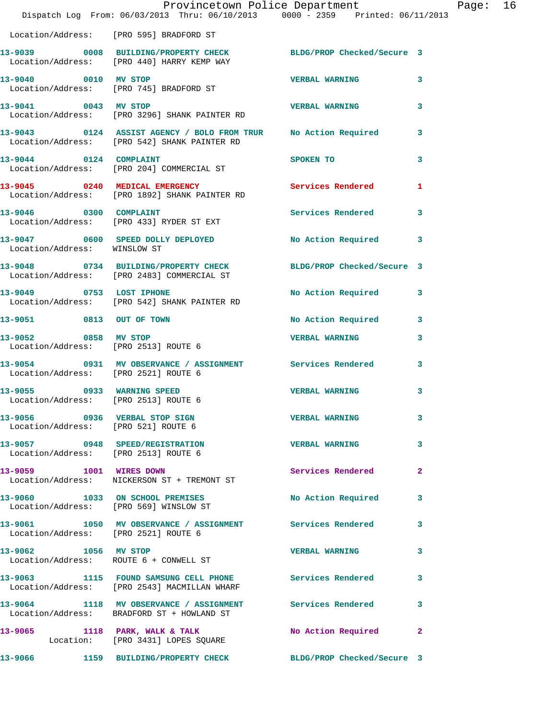|                                                                      | Provincetown Police Department<br>Dispatch Log From: 06/03/2013 Thru: 06/10/2013 0000 - 2359 Printed: 06/11/2013 |                          |                |
|----------------------------------------------------------------------|------------------------------------------------------------------------------------------------------------------|--------------------------|----------------|
|                                                                      | Location/Address: [PRO 595] BRADFORD ST                                                                          |                          |                |
|                                                                      | 13-9039 0008 BUILDING/PROPERTY CHECK BLDG/PROP Checked/Secure 3<br>Location/Address: [PRO 440] HARRY KEMP WAY    |                          |                |
| 13-9040 0010 MV STOP                                                 | Location/Address: [PRO 745] BRADFORD ST                                                                          | <b>VERBAL WARNING</b>    | 3              |
| 13-9041 0043 MV STOP                                                 | Location/Address: [PRO 3296] SHANK PAINTER RD                                                                    | <b>VERBAL WARNING</b>    | 3              |
|                                                                      | 13-9043 0124 ASSIST AGENCY / BOLO FROM TRUR No Action Required<br>Location/Address: [PRO 542] SHANK PAINTER RD   |                          | 3              |
| 13-9044 0124 COMPLAINT                                               | Location/Address: [PRO 204] COMMERCIAL ST                                                                        | <b>SPOKEN TO</b>         | 3              |
|                                                                      | 13-9045 0240 MEDICAL EMERGENCY<br>Location/Address: [PRO 1892] SHANK PAINTER RD                                  | <b>Services Rendered</b> | 1              |
| 13-9046 0300 COMPLAINT                                               | Location/Address: [PRO 433] RYDER ST EXT                                                                         | <b>Services Rendered</b> | 3              |
| Location/Address: WINSLOW ST                                         | 13-9047 0600 SPEED DOLLY DEPLOYED No Action Required                                                             |                          | 3              |
|                                                                      | 13-9048 0734 BUILDING/PROPERTY CHECK BLDG/PROP Checked/Secure 3<br>Location/Address: [PRO 2483] COMMERCIAL ST    |                          |                |
|                                                                      | 13-9049 0753 LOST IPHONE<br>Location/Address: [PRO 542] SHANK PAINTER RD                                         | No Action Required       | 3              |
| 13-9051 0813 OUT OF TOWN                                             |                                                                                                                  | No Action Required       | 3              |
| 13-9052 0858 MV STOP                                                 | Location/Address: [PRO 2513] ROUTE 6                                                                             | <b>VERBAL WARNING</b>    | 3              |
| Location/Address: [PRO 2521] ROUTE 6                                 | 13-9054 0931 MV OBSERVANCE / ASSIGNMENT Services Rendered                                                        |                          | 3              |
| Location/Address: [PRO 2513] ROUTE 6                                 | 13-9055 0933 WARNING SPEED                                                                                       | <b>VERBAL WARNING</b>    | 3              |
| 13-9056 0936 VERBAL STOP SIGN<br>Location/Address: [PRO 521] ROUTE 6 |                                                                                                                  | <b>VERBAL WARNING</b>    | 3              |
| Location/Address: [PRO 2513] ROUTE 6                                 | 13-9057 0948 SPEED/REGISTRATION VERBAL WARNING                                                                   |                          | 3              |
| 13-9059 1001 WIRES DOWN                                              | Location/Address: NICKERSON ST + TREMONT ST                                                                      | <b>Services Rendered</b> | $\mathbf{2}$   |
|                                                                      | 13-9060 1033 ON SCHOOL PREMISES<br>Location/Address: [PRO 569] WINSLOW ST                                        | No Action Required       | 3              |
| Location/Address: [PRO 2521] ROUTE 6                                 | 13-9061 1050 MV OBSERVANCE / ASSIGNMENT Services Rendered                                                        |                          | 3              |
| 13-9062 1056 MV STOP<br>Location/Address: ROUTE 6 + CONWELL ST       |                                                                                                                  | <b>VERBAL WARNING</b>    | 3              |
|                                                                      | 13-9063 1115 FOUND SAMSUNG CELL PHONE Services Rendered<br>Location/Address: [PRO 2543] MACMILLAN WHARF          |                          | 3              |
|                                                                      | 13-9064 1118 MV OBSERVANCE / ASSIGNMENT Services Rendered<br>Location/Address: BRADFORD ST + HOWLAND ST          |                          | 3              |
|                                                                      | 13-9065 1118 PARK, WALK & TALK NO Action Required<br>Location: [PRO 3431] LOPES SQUARE                           |                          | $\overline{2}$ |
|                                                                      | 13-9066 1159 BUILDING/PROPERTY CHECK BLDG/PROP Checked/Secure 3                                                  |                          |                |

Page:  $16 \n3$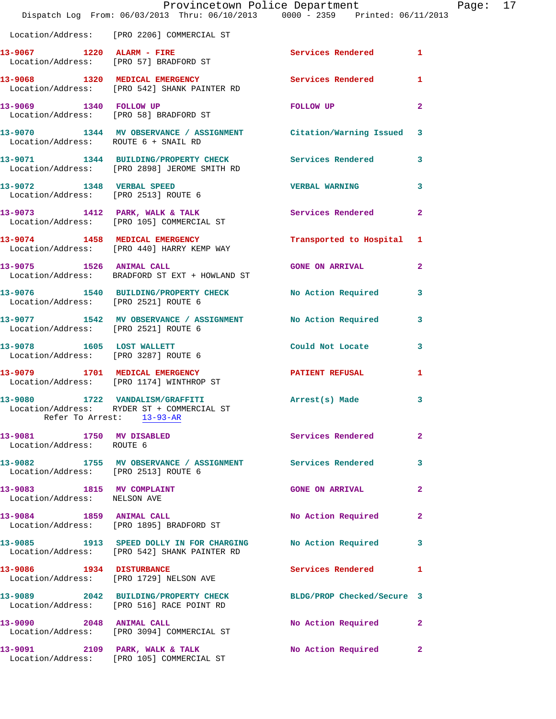|                                                                   | Provincetown Police Department<br>Dispatch Log From: 06/03/2013 Thru: 06/10/2013 0000 - 2359 Printed: 06/11/2013 |                            |                |
|-------------------------------------------------------------------|------------------------------------------------------------------------------------------------------------------|----------------------------|----------------|
|                                                                   | Location/Address: [PRO 2206] COMMERCIAL ST                                                                       |                            |                |
|                                                                   |                                                                                                                  | <b>Services Rendered</b>   | 1              |
|                                                                   | 13-9068 1320 MEDICAL EMERGENCY<br>Location/Address: [PRO 542] SHANK PAINTER RD                                   | <b>Services Rendered</b>   | 1              |
| 13-9069 1340 FOLLOW UP                                            | Location/Address: [PRO 58] BRADFORD ST                                                                           | FOLLOW UP                  | $\mathbf{2}$   |
| Location/Address: ROUTE 6 + SNAIL RD                              | 13-9070 1344 MV OBSERVANCE / ASSIGNMENT Citation/Warning Issued                                                  |                            | 3              |
|                                                                   | 13-9071 1344 BUILDING/PROPERTY CHECK<br>Location/Address: [PRO 2898] JEROME SMITH RD                             | Services Rendered          | 3              |
| 13-9072 1348 VERBAL SPEED<br>Location/Address: [PRO 2513] ROUTE 6 |                                                                                                                  | <b>VERBAL WARNING</b>      | 3              |
|                                                                   | 13-9073 1412 PARK, WALK & TALK<br>Location/Address: [PRO 105] COMMERCIAL ST                                      | Services Rendered          | $\overline{a}$ |
|                                                                   | 13-9074 1458 MEDICAL EMERGENCY<br>Location/Address: [PRO 440] HARRY KEMP WAY                                     | Transported to Hospital    | 1              |
| 13-9075 1526 ANIMAL CALL                                          | Location/Address: BRADFORD ST EXT + HOWLAND ST                                                                   | <b>GONE ON ARRIVAL</b>     | $\mathbf{2}$   |
| Location/Address: [PRO 2521] ROUTE 6                              | 13-9076 1540 BUILDING/PROPERTY CHECK                                                                             | No Action Required         | 3              |
| Location/Address: [PRO 2521] ROUTE 6                              | 13-9077 1542 MV OBSERVANCE / ASSIGNMENT                                                                          | No Action Required         | 3              |
| 13-9078 1605 LOST WALLETT<br>Location/Address: [PRO 3287] ROUTE 6 |                                                                                                                  | Could Not Locate           | 3              |
| 13-9079 1701 MEDICAL EMERGENCY                                    | Location/Address: [PRO 1174] WINTHROP ST                                                                         | <b>PATIENT REFUSAL</b>     | 1              |
|                                                                   | 13-9080 1722 VANDALISM/GRAFFITI<br>Location/Address: RYDER ST + COMMERCIAL ST<br>Refer To Arrest: 13-93-AR       | Arrest(s) Made             | 3              |
| 13-9081 1750 MV DISABLED<br>Location/Address: ROUTE 6             |                                                                                                                  | Services Rendered          | $\mathbf{2}$   |
| Location/Address: [PRO 2513] ROUTE 6                              | 13-9082 1755 MV OBSERVANCE / ASSIGNMENT Services Rendered                                                        |                            | 3              |
| 13-9083 1815 MV COMPLAINT<br>Location/Address: NELSON AVE         |                                                                                                                  | <b>GONE ON ARRIVAL</b>     | $\mathbf{2}$   |
| 13-9084 1859 ANIMAL CALL                                          | Location/Address: [PRO 1895] BRADFORD ST                                                                         | No Action Required         | $\mathbf{2}$   |
|                                                                   | 13-9085 1913 SPEED DOLLY IN FOR CHARGING No Action Required<br>Location/Address: [PRO 542] SHANK PAINTER RD      |                            | 3              |
| 13-9086 1934 DISTURBANCE                                          | Location/Address: [PRO 1729] NELSON AVE                                                                          | Services Rendered          | 1              |
|                                                                   | 13-9089 2042 BUILDING/PROPERTY CHECK<br>Location/Address: [PRO 516] RACE POINT RD                                | BLDG/PROP Checked/Secure 3 |                |
| 13-9090 2048 ANIMAL CALL                                          | Location/Address: [PRO 3094] COMMERCIAL ST                                                                       | No Action Required         | $\mathbf{2}$   |
|                                                                   | 13-9091 2109 PARK, WALK & TALK<br>Location/Address: [PRO 105] COMMERCIAL ST                                      | No Action Required         | 2              |

Page: 17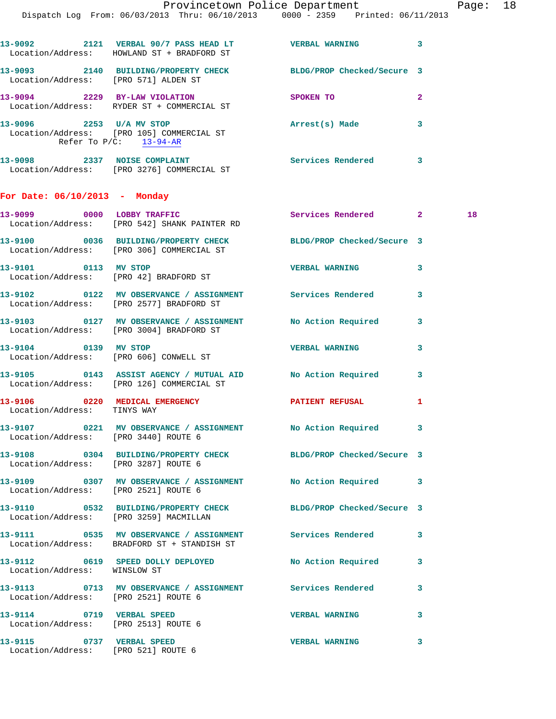|                                      | 13-9092 2121 VERBAL 90/7 PASS HEAD LT VERBAL WARNING<br>Location/Address: HOWLAND ST + BRADFORD ST           |                       | 3              |    |
|--------------------------------------|--------------------------------------------------------------------------------------------------------------|-----------------------|----------------|----|
|                                      | 13-9093 2140 BUILDING/PROPERTY CHECK BLDG/PROP Checked/Secure 3<br>Location/Address: [PRO 571] ALDEN ST      |                       |                |    |
|                                      | 13-9094 2229 BY-LAW VIOLATION<br>Location/Address: RYDER ST + COMMERCIAL ST                                  | <b>SPOKEN TO</b>      | $\overline{2}$ |    |
|                                      | 13-9096 2253 U/A MV STOP<br>Location/Address: [PRO 105] COMMERCIAL ST<br>Refer To $P/C$ : 13-94-AR           | Arrest(s) Made        | 3              |    |
|                                      | 13-9098 2337 NOISE COMPLAINT<br>Location/Address: [PRO 3276] COMMERCIAL ST                                   | Services Rendered 3   |                |    |
| For Date: 06/10/2013 - Monday        |                                                                                                              |                       |                |    |
|                                      | 13-9099 0000 LOBBY TRAFFIC<br>Location/Address: [PRO 542] SHANK PAINTER RD                                   | Services Rendered 2   |                | 18 |
|                                      | 13-9100 0036 BUILDING/PROPERTY CHECK BLDG/PROP Checked/Secure 3<br>Location/Address: [PRO 306] COMMERCIAL ST |                       |                |    |
| 13-9101 0113 MV STOP                 | Location/Address: [PRO 42] BRADFORD ST                                                                       | <b>VERBAL WARNING</b> | 3              |    |
|                                      | 13-9102 0122 MV OBSERVANCE / ASSIGNMENT Services Rendered<br>Location/Address: [PRO 2577] BRADFORD ST        |                       | 3              |    |
|                                      | 13-9103 0127 MV OBSERVANCE / ASSIGNMENT No Action Required<br>Location/Address: [PRO 3004] BRADFORD ST       |                       | 3              |    |
|                                      | 13-9104 0139 MV STOP<br>Location/Address: [PRO 606] CONWELL ST                                               | <b>VERBAL WARNING</b> | 3              |    |
|                                      | 13-9105 0143 ASSIST AGENCY / MUTUAL AID No Action Required<br>Location/Address: [PRO 126] COMMERCIAL ST      |                       | 3              |    |
| Location/Address: TINYS WAY          | 13-9106 0220 MEDICAL EMERGENCY <b>STATENT REFUSAL</b>                                                        |                       | 1              |    |
|                                      | 13-9107 0221 MV OBSERVANCE / ASSIGNMENT NO Action Required 3<br>Location/Address: [PRO 3440] ROUTE 6         |                       |                |    |
|                                      | 13-9108 0304 BUILDING/PROPERTY CHECK BLDG/PROP Checked/Secure 3<br>Location/Address: [PRO 3287] ROUTE 6      |                       |                |    |
|                                      | 13-9109 0307 MV OBSERVANCE / ASSIGNMENT No Action Required<br>Location/Address: [PRO 2521] ROUTE 6           |                       | 3              |    |
|                                      | 13-9110 0532 BUILDING/PROPERTY CHECK BLDG/PROP Checked/Secure 3<br>Location/Address: [PRO 3259] MACMILLAN    |                       |                |    |
|                                      | 13-9111 0535 MV OBSERVANCE / ASSIGNMENT Services Rendered<br>Location/Address: BRADFORD ST + STANDISH ST     |                       | 3              |    |
| Location/Address: WINSLOW ST         | 13-9112 0619 SPEED DOLLY DEPLOYED No Action Required                                                         |                       | 3              |    |
| Location/Address: [PRO 2521] ROUTE 6 | 13-9113 0713 MV OBSERVANCE / ASSIGNMENT Services Rendered                                                    |                       | 3              |    |
| Location/Address: [PRO 2513] ROUTE 6 | 13-9114 0719 VERBAL SPEED                                                                                    | <b>VERBAL WARNING</b> | 3              |    |
| 13-9115 0737 VERBAL SPEED            | Location/Address: [PRO 521] ROUTE 6                                                                          | <b>VERBAL WARNING</b> | 3              |    |
|                                      |                                                                                                              |                       |                |    |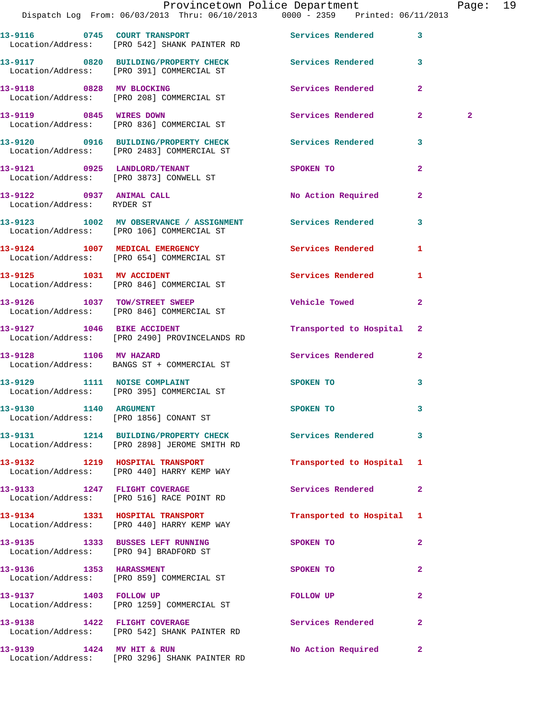|                                        | Provincetown Police Department Fage: 19<br>Dispatch Log From: 06/03/2013 Thru: 06/10/2013 0000 - 2359 Printed: 06/11/2013 |                              |                |              |  |
|----------------------------------------|---------------------------------------------------------------------------------------------------------------------------|------------------------------|----------------|--------------|--|
|                                        | 13-9116 0745 COURT TRANSPORT No Services Rendered<br>Location/Address: [PRO 542] SHANK PAINTER RD                         |                              | $\mathbf{3}$   |              |  |
|                                        | 13-9117 0820 BUILDING/PROPERTY CHECK Services Rendered 3<br>Location/Address: [PRO 391] COMMERCIAL ST                     |                              |                |              |  |
|                                        | 13-9118 0828 MV BLOCKING<br>Location/Address: [PRO 208] COMMERCIAL ST                                                     | Services Rendered            | $\mathbf{2}$   |              |  |
| 13-9119 0845 WIRES DOWN                | Location/Address: [PRO 836] COMMERCIAL ST                                                                                 | Services Rendered            | $\mathbf{2}$   | $\mathbf{2}$ |  |
|                                        | 13-9120      0916   BUILDING/PROPERTY CHECK        Services Rendered<br>Location/Address:   [PRO 2483] COMMERCIAL ST      |                              | $\mathbf{3}$   |              |  |
|                                        | 13-9121 0925 LANDLORD/TENANT<br>Location/Address: [PRO 3873] CONWELL ST                                                   | <b>SPOKEN TO</b>             | $\overline{a}$ |              |  |
| Location/Address: RYDER ST             | 13-9122 0937 ANIMAL CALL                                                                                                  | No Action Required           | $\mathbf{2}$   |              |  |
|                                        | 13-9123 1002 MV OBSERVANCE / ASSIGNMENT Services Rendered<br>Location/Address: [PRO 106] COMMERCIAL ST                    |                              | 3              |              |  |
|                                        | 13-9124 1007 MEDICAL EMERGENCY Services Rendered 1<br>Location/Address: [PRO 654] COMMERCIAL ST                           |                              |                |              |  |
|                                        | 13-9125 1031 MV ACCIDENT<br>Location/Address: [PRO 846] COMMERCIAL ST                                                     | <b>Services Rendered</b>     | 1              |              |  |
|                                        | 13-9126 1037 TOW/STREET SWEEP<br>Location/Address: [PRO 846] COMMERCIAL ST                                                | Vehicle Towed <b>Website</b> | $\overline{2}$ |              |  |
|                                        | 13-9127 1046 BIKE ACCIDENT<br>Location/Address: [PRO 2490] PROVINCELANDS RD                                               | Transported to Hospital 2    |                |              |  |
| 13-9128 1106 MV HAZARD                 | Location/Address: BANGS ST + COMMERCIAL ST                                                                                | Services Rendered            | $\mathbf{2}$   |              |  |
|                                        |                                                                                                                           | SPOKEN TO                    | 3              |              |  |
| Location/Address: [PRO 1856] CONANT ST | 13-9130 1140 ARGUMENT                                                                                                     | SPOKEN TO                    |                |              |  |
|                                        | 13-9131 1214 BUILDING/PROPERTY CHECK Services Rendered<br>Location/Address: [PRO 2898] JEROME SMITH RD                    |                              | $\mathbf{3}$   |              |  |
|                                        | 13-9132 1219 HOSPITAL TRANSPORT<br>Location/Address: [PRO 440] HARRY KEMP WAY                                             | Transported to Hospital 1    |                |              |  |
|                                        | 13-9133 1247 FLIGHT COVERAGE<br>Location/Address: [PRO 516] RACE POINT RD                                                 | <b>Services Rendered</b>     | $\mathbf{2}$   |              |  |
|                                        | 13-9134 1331 HOSPITAL TRANSPORT<br>Location/Address: [PRO 440] HARRY KEMP WAY                                             | Transported to Hospital 1    |                |              |  |
|                                        | 13-9135 1333 BUSSES LEFT RUNNING<br>Location/Address: [PRO 94] BRADFORD ST                                                | SPOKEN TO                    | $\mathbf{2}$   |              |  |
| 13-9136 1353 HARASSMENT                | Location/Address: [PRO 859] COMMERCIAL ST                                                                                 | SPOKEN TO                    | $\overline{a}$ |              |  |
|                                        | 13-9137 1403 FOLLOW UP<br>Location/Address: [PRO 1259] COMMERCIAL ST                                                      | FOLLOW UP                    | $\mathbf{2}$   |              |  |
| 13-9138 1422 FLIGHT COVERAGE           | Location/Address: [PRO 542] SHANK PAINTER RD                                                                              | Services Rendered            | $\mathbf{2}$   |              |  |
| 13-9139 1424 MV HIT & RUN              |                                                                                                                           | No Action Required           | $\mathbf{2}$   |              |  |

Location/Address: [PRO 3296] SHANK PAINTER RD